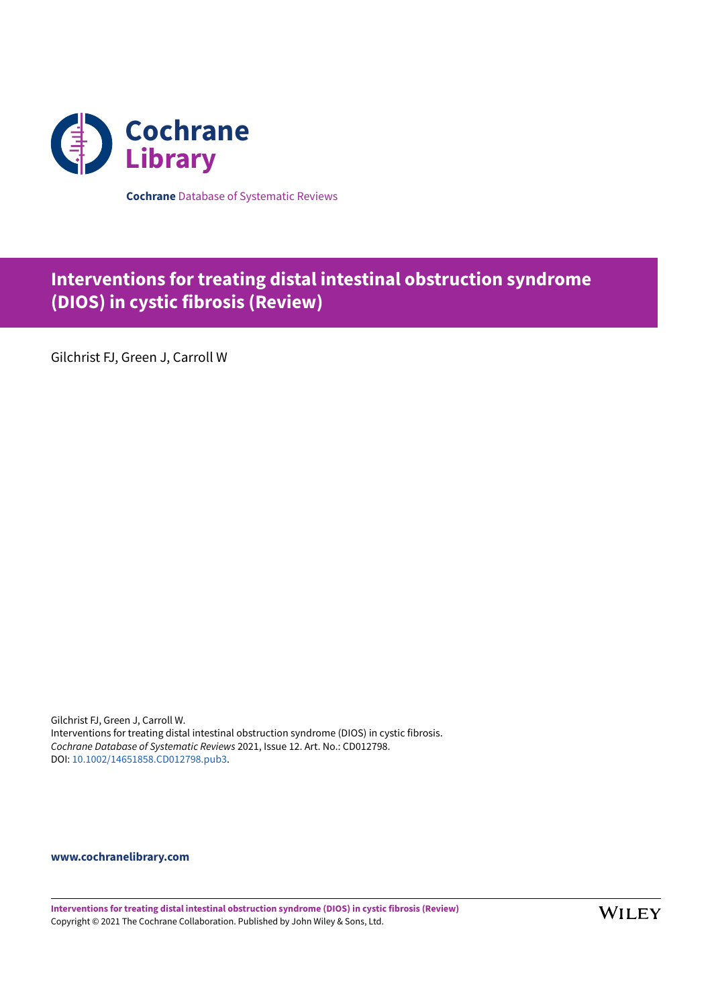

**Cochrane** Database of Systematic Reviews

# **Interventions for treating distal intestinal obstruction syndrome (DIOS) in cystic fibrosis (Review)**

Gilchrist FJ, Green J, Carroll W

Gilchrist FJ, Green J, Carroll W. Interventions for treating distal intestinal obstruction syndrome (DIOS) in cystic fibrosis. *Cochrane Database of Systematic Reviews* 2021, Issue 12. Art. No.: CD012798. DOI: [10.1002/14651858.CD012798.pub3.](https://doi.org/10.1002%2F14651858.CD012798.pub3)

**[www.cochranelibrary.com](https://www.cochranelibrary.com)**

**Interventions for treating distal intestinal obstruction syndrome (DIOS) in cystic fibrosis (Review)** Copyright © 2021 The Cochrane Collaboration. Published by John Wiley & Sons, Ltd.

**WILEY**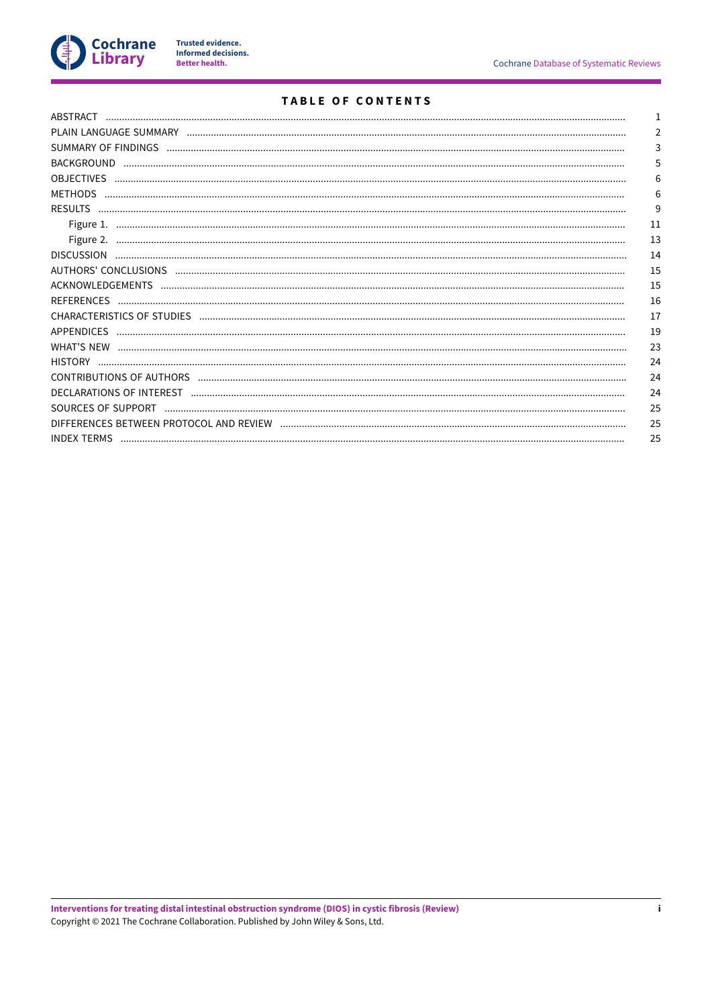

Trusted evidence.<br>Informed decisions.<br>Better health.

# **TABLE OF CONTENTS**

| <b>ABSTRACT</b>                                                                                                                                                                                                               |    |
|-------------------------------------------------------------------------------------------------------------------------------------------------------------------------------------------------------------------------------|----|
|                                                                                                                                                                                                                               | 2  |
|                                                                                                                                                                                                                               | 3  |
| <b>BACKGROUND</b>                                                                                                                                                                                                             | 5  |
| <b>OBJECTIVES</b>                                                                                                                                                                                                             | 6  |
| METHODS                                                                                                                                                                                                                       | 6  |
| <b>RESULTS</b>                                                                                                                                                                                                                | 9  |
| Figure 1.                                                                                                                                                                                                                     | 11 |
|                                                                                                                                                                                                                               | 13 |
|                                                                                                                                                                                                                               | 14 |
|                                                                                                                                                                                                                               | 15 |
|                                                                                                                                                                                                                               | 15 |
| <b>REFERENCES</b>                                                                                                                                                                                                             | 16 |
|                                                                                                                                                                                                                               | 17 |
| <b>APPENDICES</b>                                                                                                                                                                                                             | 19 |
|                                                                                                                                                                                                                               | 23 |
| <b>HISTORY</b>                                                                                                                                                                                                                | 24 |
|                                                                                                                                                                                                                               | 24 |
|                                                                                                                                                                                                                               | 24 |
|                                                                                                                                                                                                                               | 25 |
| DIFFERENCES BETWEEN PROTOCOL AND REVIEW manageneral content and content the content of the content of the content of the content of the content of the content of the content of the content of the content of the content of | 25 |
|                                                                                                                                                                                                                               | 25 |
|                                                                                                                                                                                                                               |    |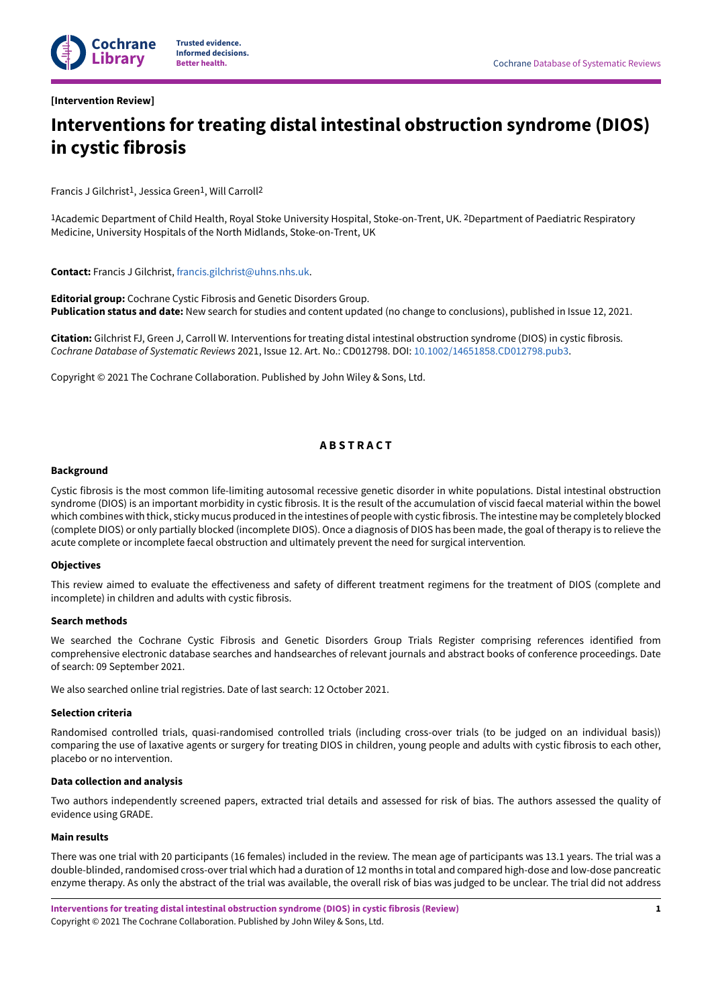#### **[Intervention Review]**

# **Interventions for treating distal intestinal obstruction syndrome (DIOS) in cystic fibrosis**

Francis J Gilchrist 1, Jessica Green1, Will Carroll 2

1Academic Department of Child Health, Royal Stoke University Hospital, Stoke-on-Trent, UK. 2Department of Paediatric Respiratory Medicine, University Hospitals of the North Midlands, Stoke-on-Trent, UK

**Contact:** Francis J Gilchrist, [francis.gilchrist@uhns.nhs.uk.](mailto:francis.gilchrist@uhns.nhs.uk)

**Editorial group:** Cochrane Cystic Fibrosis and Genetic Disorders Group. **Publication status and date:** New search for studies and content updated (no change to conclusions), published in Issue 12, 2021.

**Citation:** Gilchrist FJ, Green J, Carroll W. Interventions for treating distal intestinal obstruction syndrome (DIOS) in cystic fibrosis. *Cochrane Database of Systematic Reviews* 2021, Issue 12. Art. No.: CD012798. DOI: [10.1002/14651858.CD012798.pub3.](https://doi.org/10.1002%2F14651858.CD012798.pub3)

Copyright © 2021 The Cochrane Collaboration. Published by John Wiley & Sons, Ltd.

## **A B S T R A C T**

#### <span id="page-2-0"></span>**Background**

Cystic fibrosis is the most common life-limiting autosomal recessive genetic disorder in white populations. Distal intestinal obstruction syndrome (DIOS) is an important morbidity in cystic fibrosis. It is the result of the accumulation of viscid faecal material within the bowel which combines with thick, sticky mucus produced in the intestines of people with cystic fibrosis. The intestine may be completely blocked (complete DIOS) or only partially blocked (incomplete DIOS). Once a diagnosis of DIOS has been made, the goal of therapy is to relieve the acute complete or incomplete faecal obstruction and ultimately prevent the need for surgical intervention*.*

#### **Objectives**

This review aimed to evaluate the eFectiveness and safety of diFerent treatment regimens for the treatment of DIOS (complete and incomplete) in children and adults with cystic fibrosis.

#### **Search methods**

We searched the Cochrane Cystic Fibrosis and Genetic Disorders Group Trials Register comprising references identified from comprehensive electronic database searches and handsearches of relevant journals and abstract books of conference proceedings. Date of search: 09 September 2021.

We also searched online trial registries. Date of last search: 12 October 2021.

#### **Selection criteria**

Randomised controlled trials, quasi-randomised controlled trials (including cross-over trials (to be judged on an individual basis)) comparing the use of laxative agents or surgery for treating DIOS in children, young people and adults with cystic fibrosis to each other, placebo or no intervention.

#### **Data collection and analysis**

Two authors independently screened papers, extracted trial details and assessed for risk of bias. The authors assessed the quality of evidence using GRADE.

#### **Main results**

There was one trial with 20 participants (16 females) included in the review. The mean age of participants was 13.1 years. The trial was a double-blinded, randomised cross-over trial which had a duration of 12 months in total and compared high-dose and low-dose pancreatic enzyme therapy. As only the abstract of the trial was available, the overall risk of bias was judged to be unclear. The trial did not address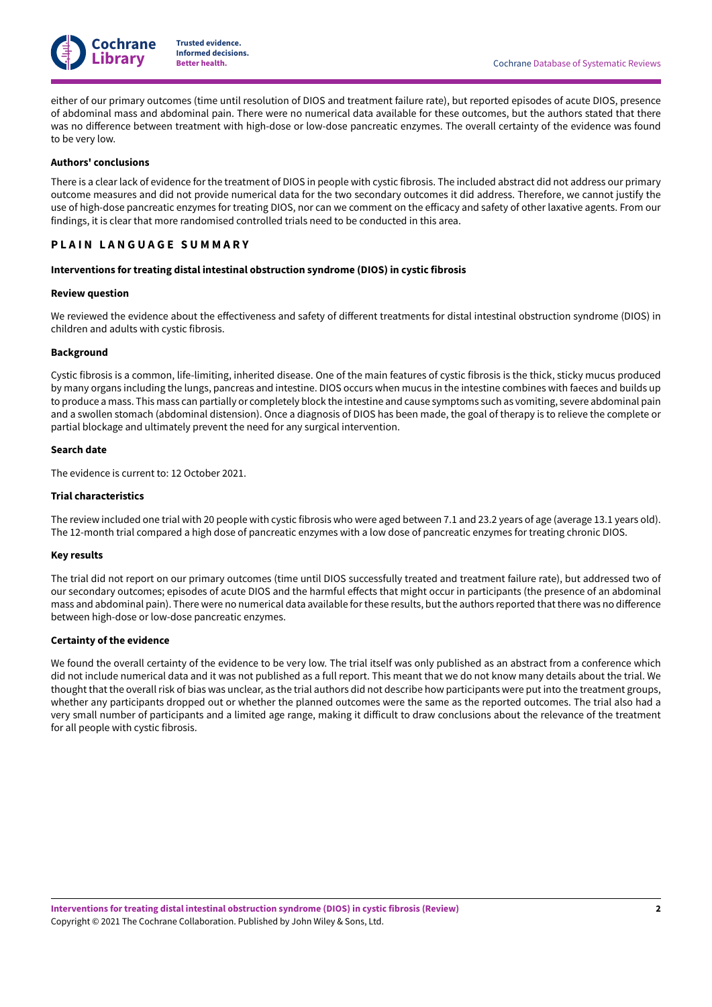

either of our primary outcomes (time until resolution of DIOS and treatment failure rate), but reported episodes of acute DIOS, presence of abdominal mass and abdominal pain. There were no numerical data available for these outcomes, but the authors stated that there was no diFerence between treatment with high-dose or low-dose pancreatic enzymes. The overall certainty of the evidence was found to be very low.

#### **Authors' conclusions**

There is a clear lack of evidence for the treatment of DIOS in people with cystic fibrosis. The included abstract did not address our primary outcome measures and did not provide numerical data for the two secondary outcomes it did address. Therefore, we cannot justify the use of high-dose pancreatic enzymes for treating DIOS, nor can we comment on the eFicacy and safety of other laxative agents. From our findings, it is clear that more randomised controlled trials need to be conducted in this area.

## <span id="page-3-0"></span>**P L A I N L A N G U A G E S U M M A R Y**

#### **Interventions for treating distal intestinal obstruction syndrome (DIOS) in cystic fibrosis**

#### **Review question**

We reviewed the evidence about the eFectiveness and safety of diFerent treatments for distal intestinal obstruction syndrome (DIOS) in children and adults with cystic fibrosis.

#### **Background**

Cystic fibrosis is a common, life-limiting, inherited disease. One of the main features of cystic fibrosis is the thick, sticky mucus produced by many organs including the lungs, pancreas and intestine. DIOS occurs when mucus in the intestine combines with faeces and builds up to produce a mass. This mass can partially or completely block the intestine and cause symptoms such as vomiting, severe abdominal pain and a swollen stomach (abdominal distension). Once a diagnosis of DIOS has been made, the goal of therapy is to relieve the complete or partial blockage and ultimately prevent the need for any surgical intervention.

## **Search date**

The evidence is current to: 12 October 2021.

#### **Trial characteristics**

The review included one trial with 20 people with cystic fibrosis who were aged between 7.1 and 23.2 years of age (average 13.1 years old). The 12-month trial compared a high dose of pancreatic enzymes with a low dose of pancreatic enzymes for treating chronic DIOS.

#### **Key results**

The trial did not report on our primary outcomes (time until DIOS successfully treated and treatment failure rate), but addressed two of our secondary outcomes; episodes of acute DIOS and the harmful eFects that might occur in participants (the presence of an abdominal mass and abdominal pain). There were no numerical data available forthese results, but the authors reported that there was no diFerence between high-dose or low-dose pancreatic enzymes.

#### **Certainty of the evidence**

We found the overall certainty of the evidence to be very low. The trial itself was only published as an abstract from a conference which did not include numerical data and it was not published as a full report. This meant that we do not know many details about the trial. We thought that the overall risk of bias was unclear, as the trial authors did not describe how participants were put into the treatment groups, whether any participants dropped out or whether the planned outcomes were the same as the reported outcomes. The trial also had a very small number of participants and a limited age range, making it diFicult to draw conclusions about the relevance of the treatment for all people with cystic fibrosis.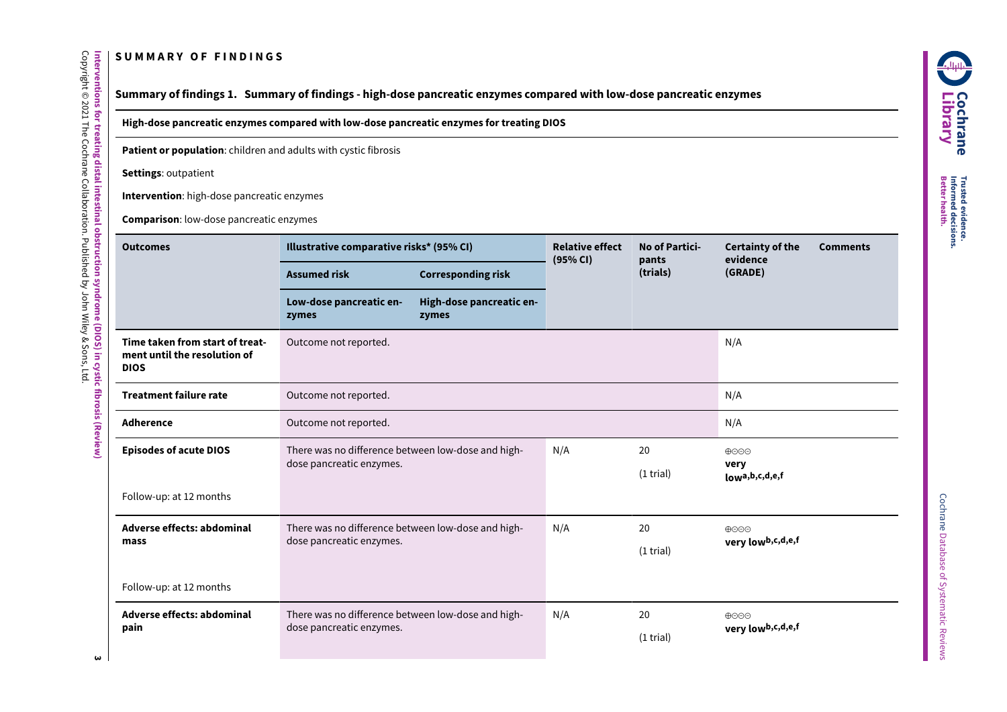# **S U M M A R Y O F F I N D I N G S**

Summary of findings 1. Summary of findings - high-dose pancreatic enzymes compared with low-dose pancreatic enzymes

**High-dose pancreatic enzymes compared with low-dose pancreatic enzymes for treating DIOS**

**Patient or population**: children and adults with cystic fibrosis

**Settings**: outpatient

**Intervention**: high-dose pancreatic enzymes

**Comparison**: low-dose pancreatic enzymes

| <b>Outcomes</b>                                                                | Illustrative comparative risks* (95% CI)                                       |                                   | <b>No of Partici-</b><br><b>Relative effect</b><br>(95% CI)<br>pants |                                                              | <b>Certainty of the</b><br><b>Comments</b><br>evidence<br>(GRADE) |  |
|--------------------------------------------------------------------------------|--------------------------------------------------------------------------------|-----------------------------------|----------------------------------------------------------------------|--------------------------------------------------------------|-------------------------------------------------------------------|--|
|                                                                                | <b>Assumed risk</b>                                                            | <b>Corresponding risk</b>         | (trials)                                                             |                                                              |                                                                   |  |
|                                                                                | Low-dose pancreatic en-<br>zymes                                               | High-dose pancreatic en-<br>zymes |                                                                      |                                                              |                                                                   |  |
| Time taken from start of treat-<br>ment until the resolution of<br><b>DIOS</b> | Outcome not reported.                                                          |                                   |                                                                      |                                                              | N/A                                                               |  |
| <b>Treatment failure rate</b>                                                  | Outcome not reported.                                                          |                                   |                                                                      |                                                              | N/A                                                               |  |
| Adherence                                                                      | Outcome not reported.                                                          |                                   |                                                                      |                                                              | N/A                                                               |  |
| <b>Episodes of acute DIOS</b>                                                  | There was no difference between low-dose and high-<br>dose pancreatic enzymes. |                                   | N/A                                                                  | 20                                                           | $\bigoplus \bigoplus \bigoplus$<br>very                           |  |
|                                                                                |                                                                                |                                   |                                                                      | $(1 \text{ trial})$                                          | low <sub>a,b,c,d,e,f</sub>                                        |  |
| Follow-up: at 12 months                                                        |                                                                                |                                   |                                                                      |                                                              |                                                                   |  |
| Adverse effects: abdominal<br>mass                                             | There was no difference between low-dose and high-<br>dose pancreatic enzymes. |                                   | N/A                                                                  | 20<br>$\bigoplus$ $\bigodot$ $\bigodot$<br>very lowb,c,d,e,f |                                                                   |  |
|                                                                                |                                                                                |                                   |                                                                      | $(1 \text{ trial})$                                          |                                                                   |  |
| Follow-up: at 12 months                                                        |                                                                                |                                   |                                                                      |                                                              |                                                                   |  |
| Adverse effects: abdominal<br>pain                                             | There was no difference between low-dose and high-<br>dose pancreatic enzymes. |                                   | N/A<br>20<br>$(1 \text{ trial})$                                     |                                                              | $\bigoplus$ $\bigodot$ $\bigodot$                                 |  |
|                                                                                |                                                                                |                                   |                                                                      | very lowb,c,d,e,f                                            |                                                                   |  |

<span id="page-4-1"></span><span id="page-4-0"></span>**(Review)**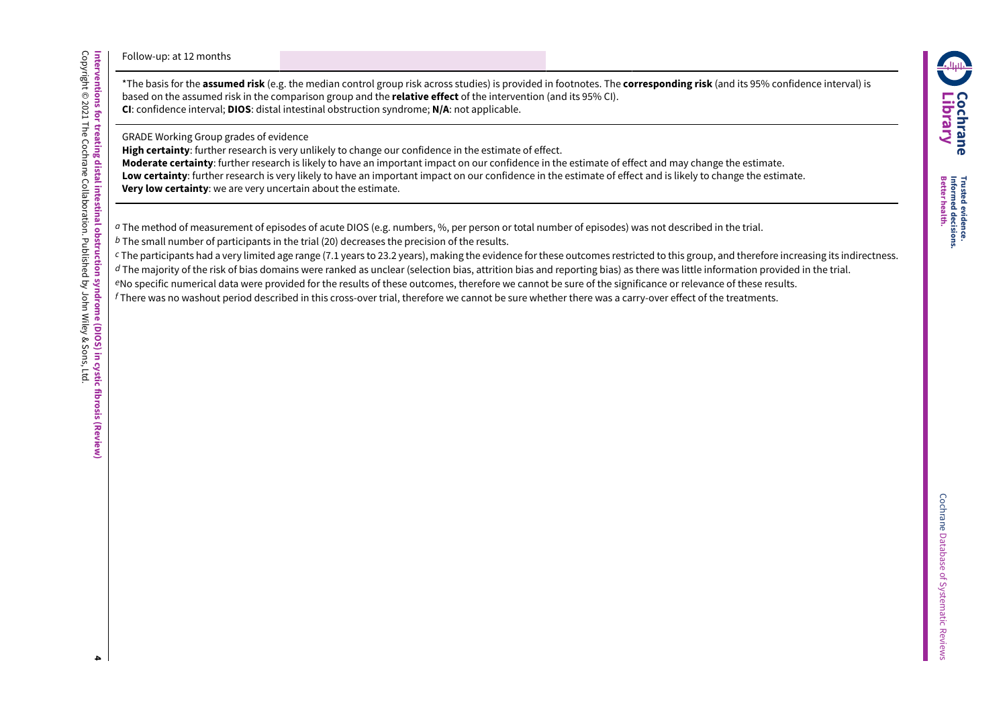**C o c hra n e Lib r a r y**

Follow-up: at 12 months

\*The basis for the **assumed risk** (e.g. the median control group risk across studies) is provided in footnotes. The **corresponding risk** (and its 95% confidence interval) is based on the assumed risk in the comparison group and the **relative effect** of the intervention (and its 95% CI). **CI**: confidence interval; **DIOS**: distal intestinal obstruction syndrome; **N/A**: not applicable.

GRADE Working Group grades of evidence

**High certainty**: further research is very unlikely to change our confidence in the estimate of effect.

**Moderate certainty**: further research is likely to have an important impact on our confidence in the estimate of effect and may change the estimate.

**Low certainty**: further research is very likely to have an important impact on our confidence in the estimate of effect and is likely to change the estimate.

**Very low certainty**: we are very uncertain about the estimate.

*a* The method of measurement of episodes of acute DIOS (e.g. numbers, %, per person or total number of episodes) was not described in the trial.

*b* The small number of participants in the trial (20) decreases the precision of the results.

*c* The participants had a very limited age range (7.1 years to 23.2 years), making the evidence for these outcomes restricted to this group, and therefore increasing its indirectness.

*d* The majority of the risk of bias domains were ranked as unclear (selection bias, attrition bias and reporting bias) as there was little information provided in the trial.

*e*No specific numerical data were provided for the results of these outcomes, therefore we cannot be sure of the significance or relevance of these results.

*f* There was no washout period described in this cross-over trial, therefore we cannot be sure whether there was a carry-over eFect of the treatments.

**4**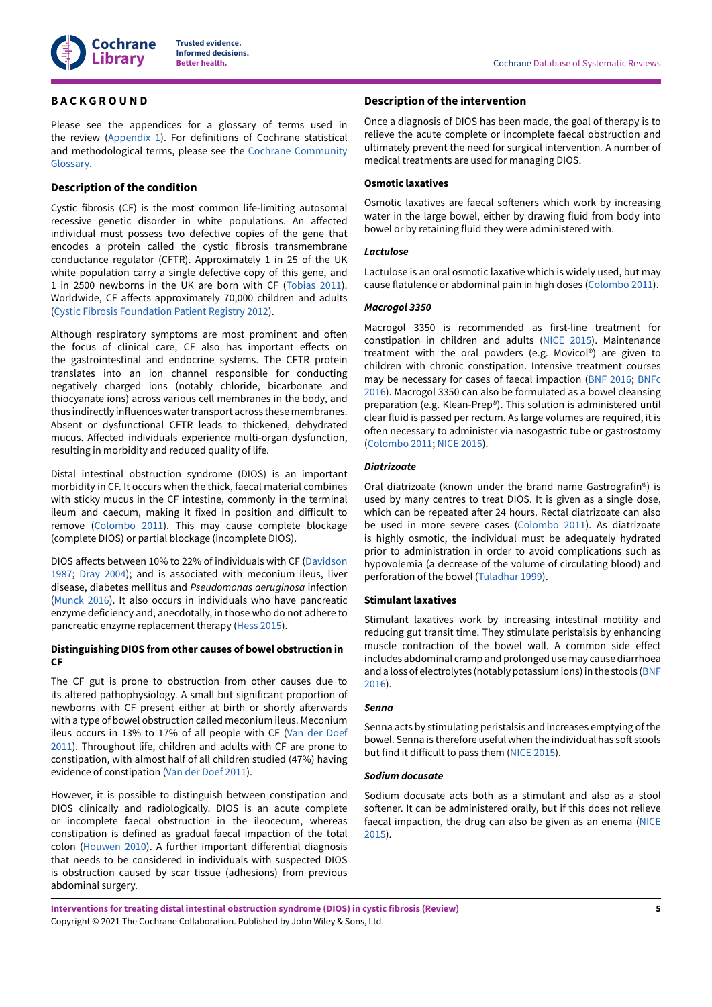

## <span id="page-6-0"></span>**B A C K G R O U N D**

Please see the appendices for a glossary of terms used in the review [\(Appendix 1](#page-20-1)). For definitions of Cochrane statistical and methodological terms, please see the Cochrane [Community](http://community.cochrane.org/glossary) [Glossary.](http://community.cochrane.org/glossary)

## **Description of the condition**

Cystic fibrosis (CF) is the most common life-limiting autosomal recessive genetic disorder in white populations. An affected individual must possess two defective copies of the gene that encodes a protein called the cystic fibrosis transmembrane conductance regulator (CFTR). Approximately 1 in 25 of the UK white population carry a single defective copy of this gene, and 1 in 2500 newborns in the UK are born with CF [\(Tobias](#page-18-1) 2011). Worldwide, CF aFects approximately 70,000 children and adults (Cystic Fibrosis [Foundation](#page-17-1) Patient Registry 2012).

Although respiratory symptoms are most prominent and often the focus of clinical care, CF also has important effects on the gastrointestinal and endocrine systems. The CFTR protein translates into an ion channel responsible for conducting negatively charged ions (notably chloride, bicarbonate and thiocyanate ions) across various cell membranes in the body, and thus indirectly influences water transport across these membranes. Absent or dysfunctional CFTR leads to thickened, dehydrated mucus. AFected individuals experience multi-organ dysfunction, resulting in morbidity and reduced quality of life.

Distal intestinal obstruction syndrome (DIOS) is an important morbidity in CF. It occurs when the thick, faecal material combines with sticky mucus in the CF intestine, commonly in the terminal ileum and caecum, making it fixed in position and diFicult to remove ([Colombo 2011\)](#page-17-2). This may cause complete blockage (complete DIOS) or partial blockage (incomplete DIOS).

DIOS aFects between 10% to 22% of individuals with CF [\(Davidson](#page-17-3) [1987](#page-17-3); [Dray](#page-17-4) 2004); and is associated with meconium ileus, liver disease, diabetes mellitus and *Pseudomonas aeruginosa* infection [\(Munck 2016](#page-18-2)). It also occurs in individuals who have pancreatic enzyme deficiency and, anecdotally, in those who do not adhere to pancreatic enzyme replacement therapy [\(Hess 2015\)](#page-17-5).

## **Distinguishing DIOS from other causes of bowel obstruction in CF**

The CF gut is prone to obstruction from other causes due to its altered pathophysiology. A small but significant proportion of newborns with CF present either at birth or shortly afterwards with a type of bowel obstruction called meconium ileus. Meconium ileus occurs in 13% to 17% of all people with CF (Van der [Doef](#page-18-3) [2011](#page-18-3)). Throughout life, children and adults with CF are prone to constipation, with almost half of all children studied (47%) having evidence of constipation (Van der Doef [2011](#page-18-3)).

However, it is possible to distinguish between constipation and DIOS clinically and radiologically. DIOS is an acute complete or incomplete faecal obstruction in the ileocecum, whereas constipation is defined as gradual faecal impaction of the total colon ([Houwen](#page-18-4) 2010). A further important differential diagnosis that needs to be considered in individuals with suspected DIOS is obstruction caused by scar tissue (adhesions) from previous abdominal surgery.

## **Description of the intervention**

Once a diagnosis of DIOS has been made, the goal of therapy is to relieve the acute complete or incomplete faecal obstruction and ultimately prevent the need for surgical intervention*.* A number of medical treatments are used for managing DIOS.

#### **Osmotic laxatives**

Osmotic laxatives are faecal softeners which work by increasing water in the large bowel, either by drawing fluid from body into bowel or by retaining fluid they were administered with.

#### *Lactulose*

Lactulose is an oral osmotic laxative which is widely used, but may cause flatulence or abdominal pain in high doses ([Colombo 2011](#page-17-2)).

#### *Macrogol 3350*

Macrogol 3350 is recommended as first-line treatment for constipation in children and adults [\(NICE 2015\)](#page-18-5). Maintenance treatment with the oral powders (e.g. Movicol®) are given to children with chronic constipation. Intensive treatment courses may be necessary for cases of faecal impaction ([BNF 2016](#page-17-6); [BNFc](#page-17-7) [2016\)](#page-17-7). Macrogol 3350 can also be formulated as a bowel cleansing preparation (e.g. Klean-Prep®). This solution is administered until clear fluid is passed per rectum. As large volumes are required, it is often necessary to administer via nasogastric tube or gastrostomy [\(Colombo 2011;](#page-17-2) [NICE 2015](#page-18-5)).

## *Diatrizoate*

Oral diatrizoate (known under the brand name Gastrografin®) is used by many centres to treat DIOS. It is given as a single dose, which can be repeated after 24 hours. Rectal diatrizoate can also be used in more severe cases ([Colombo 2011\)](#page-17-2). As diatrizoate is highly osmotic, the individual must be adequately hydrated prior to administration in order to avoid complications such as hypovolemia (a decrease of the volume of circulating blood) and perforation of the bowel [\(Tuladhar](#page-18-6) 1999).

## **Stimulant laxatives**

Stimulant laxatives work by increasing intestinal motility and reducing gut transit time. They stimulate peristalsis by enhancing muscle contraction of the bowel wall. A common side eFect includes abdominal cramp and prolonged use may cause diarrhoea and a loss of electrolytes (notably potassium ions) in the stools [\(BNF](#page-17-6) [2016\)](#page-17-6).

#### *Senna*

Senna acts by stimulating peristalsis and increases emptying of the bowel. Senna is therefore useful when the individual has soft stools but find it diFicult to pass them ([NICE 2015](#page-18-5)).

## *Sodium docusate*

Sodium docusate acts both as a stimulant and also as a stool softener. It can be administered orally, but if this does not relieve faecal impaction, the drug can also be given as an enema ([NICE](#page-18-5) [2015\)](#page-18-5).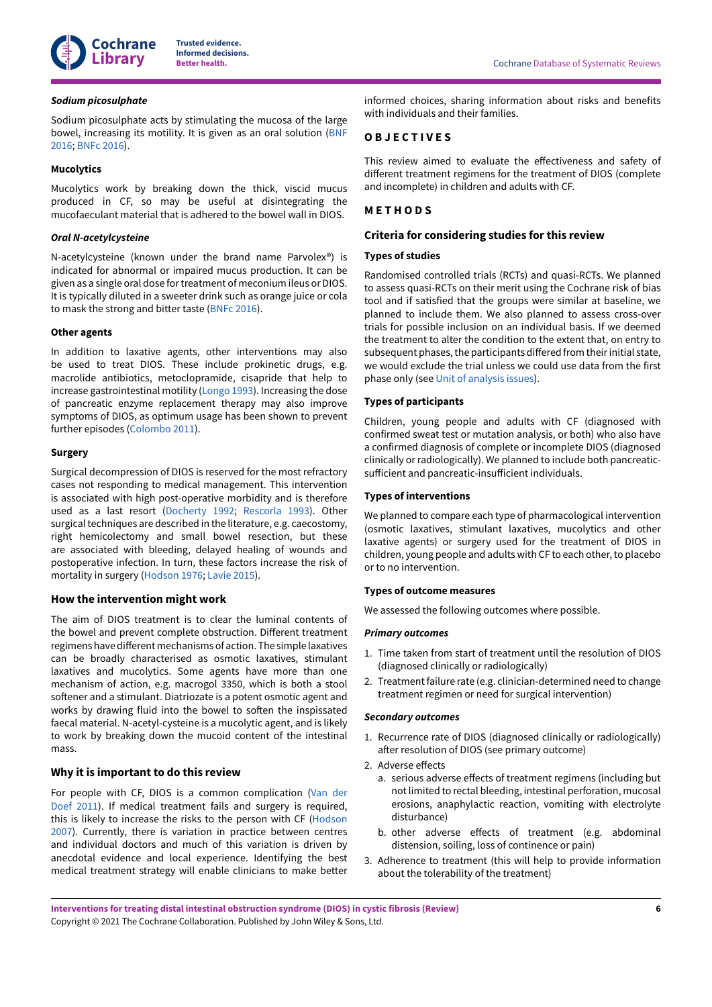

#### *Sodium picosulphate*

Sodium picosulphate acts by stimulating the mucosa of the large bowel, increasing its motility. It is given as an oral solution ([BNF](#page-17-6) [2016](#page-17-6); [BNFc](#page-17-7) 2016).

#### **Mucolytics**

Mucolytics work by breaking down the thick, viscid mucus produced in CF, so may be useful at disintegrating the mucofaeculant material that is adhered to the bowel wall in DIOS.

#### *Oral N-acetylcysteine*

N-acetylcysteine (known under the brand name Parvolex®) is indicated for abnormal or impaired mucus production. It can be given as a single oral dose for treatment of meconium ileus or DIOS. It is typically diluted in a sweeter drink such as orange juice or cola to mask the strong and bitter taste ([BNFc](#page-17-7) 2016).

## **Other agents**

In addition to laxative agents, other interventions may also be used to treat DIOS. These include prokinetic drugs, e.g. macrolide antibiotics, metoclopramide, cisapride that help to increase gastrointestinal motility ([Longo](#page-18-7) 1993). Increasing the dose of pancreatic enzyme replacement therapy may also improve symptoms of DIOS, as optimum usage has been shown to prevent further episodes ([Colombo 2011\)](#page-17-2).

#### **Surgery**

Surgical decompression of DIOS is reserved for the most refractory cases not responding to medical management. This intervention is associated with high post-operative morbidity and is therefore used as a last resort ([Docherty 1992;](#page-17-8) [Rescorla](#page-18-8) 1993). Other surgical techniques are described in the literature, e.g. caecostomy, right hemicolectomy and small bowel resection, but these are associated with bleeding, delayed healing of wounds and postoperative infection. In turn, these factors increase the risk of mortality in surgery ([Hodson 1976;](#page-18-9) [Lavie 2015](#page-18-10)).

## **How the intervention might work**

The aim of DIOS treatment is to clear the luminal contents of the bowel and prevent complete obstruction. DiFerent treatment regimens have different mechanisms of action. The simple laxatives can be broadly characterised as osmotic laxatives, stimulant laxatives and mucolytics. Some agents have more than one mechanism of action, e.g. macrogol 3350, which is both a stool softener and a stimulant. Diatriozate is a potent osmotic agent and works by drawing fluid into the bowel to soften the inspissated faecal material. N-acetyl-cysteine is a mucolytic agent, and is likely to work by breaking down the mucoid content of the intestinal mass.

## **Why it is important to do this review**

For people with CF, DIOS is a common complication [\(Van](#page-18-3) der [Doef 2011\)](#page-18-3). If medical treatment fails and surgery is required, this is likely to increase the risks to the person with CF [\(Hodson](#page-18-11) [2007](#page-18-11)). Currently, there is variation in practice between centres and individual doctors and much of this variation is driven by anecdotal evidence and local experience. Identifying the best medical treatment strategy will enable clinicians to make better informed choices, sharing information about risks and benefits with individuals and their families.

## <span id="page-7-0"></span>**O B J E C T I V E S**

This review aimed to evaluate the effectiveness and safety of diFerent treatment regimens for the treatment of DIOS (complete and incomplete) in children and adults with CF.

## <span id="page-7-1"></span>**M E T H O D S**

#### **Criteria for considering studies for this review**

## **Types of studies**

Randomised controlled trials (RCTs) and quasi-RCTs. We planned to assess quasi-RCTs on their merit using the Cochrane risk of bias tool and if satisfied that the groups were similar at baseline, we planned to include them. We also planned to assess cross-over trials for possible inclusion on an individual basis. If we deemed the treatment to alter the condition to the extent that, on entry to subsequent phases, the participants differed from their initial state, we would exclude the trial unless we could use data from the first phase only (see [Unit of analysis issues\)](#page-9-0).

#### **Types of participants**

Children, young people and adults with CF (diagnosed with confirmed sweat test or mutation analysis, or both) who also have a confirmed diagnosis of complete or incomplete DIOS (diagnosed clinically or radiologically). We planned to include both pancreaticsufficient and pancreatic-insufficient individuals.

#### **Types of interventions**

We planned to compare each type of pharmacological intervention (osmotic laxatives, stimulant laxatives, mucolytics and other laxative agents) or surgery used for the treatment of DIOS in children, young people and adults with CF to each other, to placebo or to no intervention.

#### **Types of outcome measures**

We assessed the following outcomes where possible.

#### *Primary outcomes*

- 1. Time taken from start of treatment until the resolution of DIOS (diagnosed clinically or radiologically)
- 2. Treatment failure rate (e.g. clinician-determined need to change treatment regimen or need for surgical intervention)

#### *Secondary outcomes*

- 1. Recurrence rate of DIOS (diagnosed clinically or radiologically) after resolution of DIOS (see primary outcome)
- 2. Adverse effects
	- a. serious adverse effects of treatment regimens (including but not limited to rectal bleeding, intestinal perforation, mucosal erosions, anaphylactic reaction, vomiting with electrolyte disturbance)
	- b. other adverse effects of treatment (e.g. abdominal distension, soiling, loss of continence or pain)
- 3. Adherence to treatment (this will help to provide information about the tolerability of the treatment)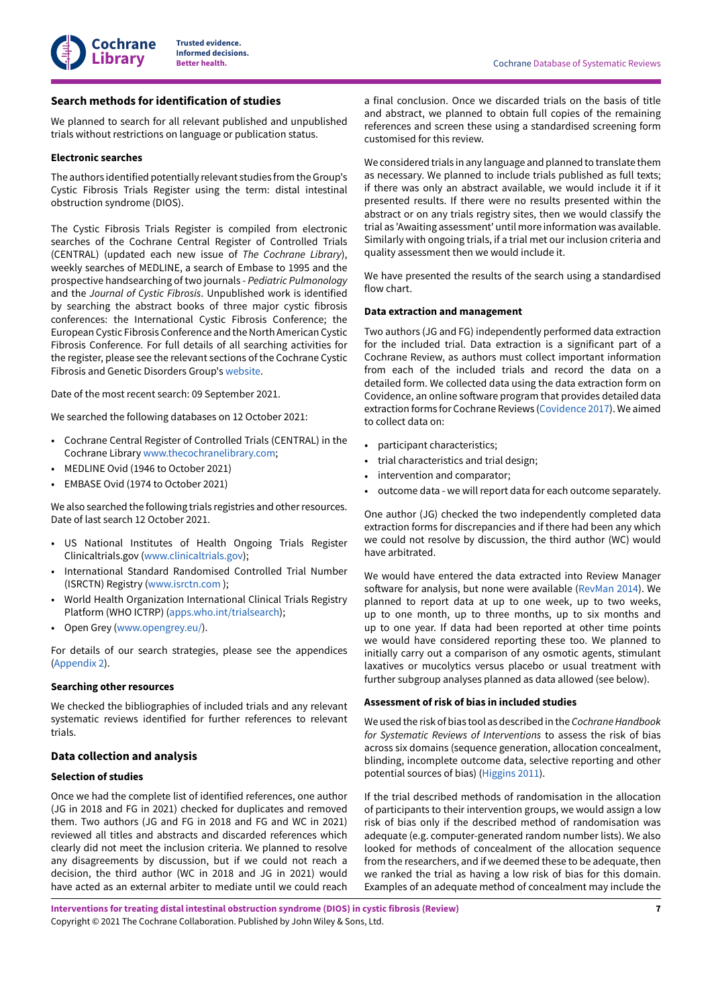# **Search methods for identification of studies**

We planned to search for all relevant published and unpublished trials without restrictions on language or publication status.

# **Electronic searches**

The authors identified potentially relevant studies from theGroup's Cystic Fibrosis Trials Register using the term: distal intestinal obstruction syndrome (DIOS).

The Cystic Fibrosis Trials Register is compiled from electronic searches of the Cochrane Central Register of Controlled Trials (CENTRAL) (updated each new issue of *The Cochrane Library*), weekly searches of MEDLINE, a search of Embase to 1995 and the prospective handsearching of two journals - *Pediatric Pulmonology* and the *Journal of Cystic Fibrosis*. Unpublished work is identified by searching the abstract books of three major cystic fibrosis conferences: the International Cystic Fibrosis Conference; the European Cystic Fibrosis Conference and the North American Cystic Fibrosis Conference. For full details of all searching activities for the register, please see the relevant sections of the Cochrane Cystic Fibrosis and Genetic Disorders Group's [website.](http://cfgd.cochrane.org/our-specialised-trials-registers)

Date of the most recent search: 09 September 2021.

We searched the following databases on 12 October 2021:

- Cochrane Central Register of Controlled Trials (CENTRAL) in the Cochrane Library [www.thecochranelibrary.com](http://www.thecochranelibrary.com);
- MEDLINE Ovid (1946 to October 2021)
- EMBASE Ovid (1974 to October 2021)

We also searched the following trials registries and other resources. Date of last search 12 October 2021.

- US National Institutes of Health Ongoing Trials Register Clinicaltrials.gov ([www.clinicaltrials.gov](http://www.clinicaltrials.gov));
- International Standard Randomised Controlled Trial Number (ISRCTN) Registry ([www.isrctn.com](http://www.isrctn.com) );
- World Health Organization International Clinical Trials Registry Platform (WHO ICTRP) ([apps.who.int/trialsearch\)](http://apps.who.int/trialsearch);
- Open Grey ([www.opengrey.eu/\)](http://www.opengrey.eu/).

For details of our search strategies, please see the appendices [\(Appendix 2](#page-21-0)).

## **Searching other resources**

We checked the bibliographies of included trials and any relevant systematic reviews identified for further references to relevant trials.

## **Data collection and analysis**

## **Selection of studies**

Once we had the complete list of identified references, one author (JG in 2018 and FG in 2021) checked for duplicates and removed them. Two authors (JG and FG in 2018 and FG and WC in 2021) reviewed all titles and abstracts and discarded references which clearly did not meet the inclusion criteria. We planned to resolve any disagreements by discussion, but if we could not reach a decision, the third author (WC in 2018 and JG in 2021) would have acted as an external arbiter to mediate until we could reach

a final conclusion. Once we discarded trials on the basis of title and abstract, we planned to obtain full copies of the remaining references and screen these using a standardised screening form customised for this review.

We considered trials in any language and planned to translate them as necessary. We planned to include trials published as full texts; if there was only an abstract available, we would include it if it presented results. If there were no results presented within the abstract or on any trials registry sites, then we would classify the trial as 'Awaiting assessment' until more information was available. Similarly with ongoing trials, if a trial met our inclusion criteria and quality assessment then we would include it.

We have presented the results of the search using a standardised flow chart.

## **Data extraction and management**

Two authors (JG and FG) independently performed data extraction for the included trial. Data extraction is a significant part of a Cochrane Review, as authors must collect important information from each of the included trials and record the data on a detailed form. We collected data using the data extraction form on Covidence, an online software program that provides detailed data extraction forms for Cochrane Reviews [\(Covidence](#page-17-9) 2017). We aimed to collect data on:

- participant characteristics;
- trial characteristics and trial design;
- intervention and comparator;
- outcome data we will report data for each outcome separately.

One author (JG) checked the two independently completed data extraction forms for discrepancies and if there had been any which we could not resolve by discussion, the third author (WC) would have arbitrated.

We would have entered the data extracted into Review Manager software for analysis, but none were available ([RevMan](#page-18-12) 2014). We planned to report data at up to one week, up to two weeks, up to one month, up to three months, up to six months and up to one year. If data had been reported at other time points we would have considered reporting these too. We planned to initially carry out a comparison of any osmotic agents, stimulant laxatives or mucolytics versus placebo or usual treatment with further subgroup analyses planned as data allowed (see below).

## **Assessment of risk of bias in included studies**

We used the risk of bias tool as described in the *Cochrane Handbook for Systematic Reviews of Interventions* to assess the risk of bias across six domains (sequence generation, allocation concealment, blinding, incomplete outcome data, selective reporting and other potential sources of bias) [\(Higgins 2011\)](#page-18-13).

If the trial described methods of randomisation in the allocation of participants to their intervention groups, we would assign a low risk of bias only if the described method of randomisation was adequate (e.g. computer-generated random number lists). We also looked for methods of concealment of the allocation sequence from the researchers, and if we deemed these to be adequate, then we ranked the trial as having a low risk of bias for this domain. Examples of an adequate method of concealment may include the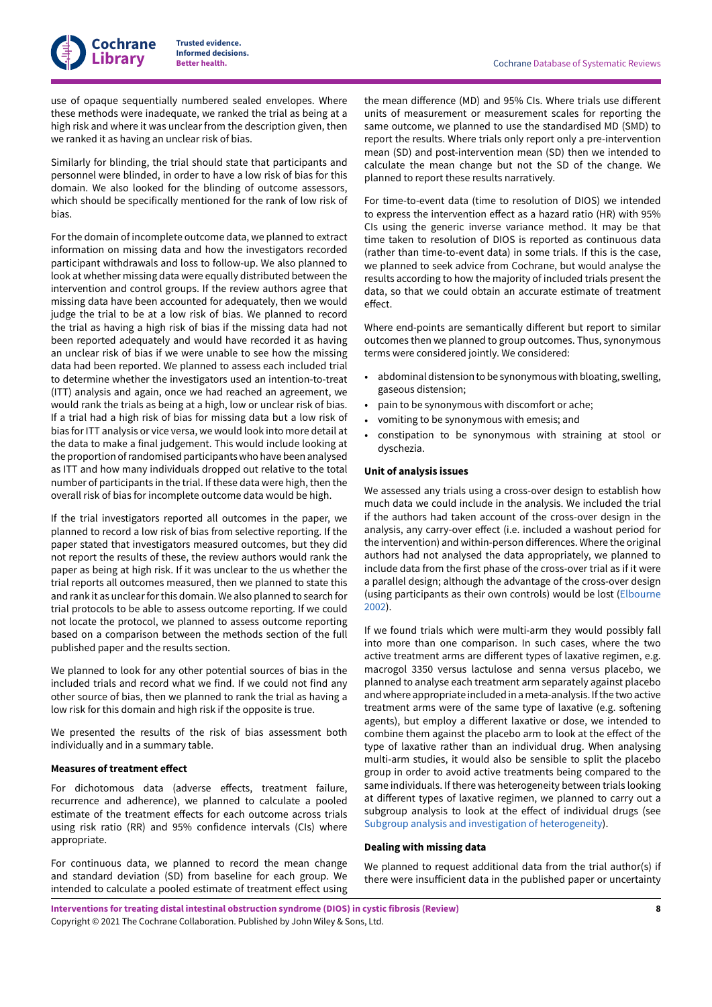

use of opaque sequentially numbered sealed envelopes. Where these methods were inadequate, we ranked the trial as being at a high risk and where it was unclear from the description given, then we ranked it as having an unclear risk of bias.

Similarly for blinding, the trial should state that participants and personnel were blinded, in order to have a low risk of bias for this domain. We also looked for the blinding of outcome assessors, which should be specifically mentioned for the rank of low risk of bias.

For the domain of incomplete outcome data, we planned to extract information on missing data and how the investigators recorded participant withdrawals and loss to follow-up. We also planned to look at whether missing data were equally distributed between the intervention and control groups. If the review authors agree that missing data have been accounted for adequately, then we would judge the trial to be at a low risk of bias. We planned to record the trial as having a high risk of bias if the missing data had not been reported adequately and would have recorded it as having an unclear risk of bias if we were unable to see how the missing data had been reported. We planned to assess each included trial to determine whether the investigators used an intention-to-treat (ITT) analysis and again, once we had reached an agreement, we would rank the trials as being at a high, low or unclear risk of bias. If a trial had a high risk of bias for missing data but a low risk of bias forITT analysis or vice versa, we would look into more detail at the data to make a final judgement. This would include looking at the proportion ofrandomised participantswho have been analysed as ITT and how many individuals dropped out relative to the total number of participants in the trial. If these data were high, then the overall risk of bias for incomplete outcome data would be high.

If the trial investigators reported all outcomes in the paper, we planned to record a low risk of bias from selective reporting. If the paper stated that investigators measured outcomes, but they did not report the results of these, the review authors would rank the paper as being at high risk. If it was unclear to the us whether the trial reports all outcomes measured, then we planned to state this and rank it as unclear for this domain. We also planned to search for trial protocols to be able to assess outcome reporting. If we could not locate the protocol, we planned to assess outcome reporting based on a comparison between the methods section of the full published paper and the results section.

We planned to look for any other potential sources of bias in the included trials and record what we find. If we could not find any other source of bias, then we planned to rank the trial as having a low risk for this domain and high risk if the opposite is true.

We presented the results of the risk of bias assessment both individually and in a summary table.

#### **Measures of treatment effect**

For dichotomous data (adverse effects, treatment failure, recurrence and adherence), we planned to calculate a pooled estimate of the treatment effects for each outcome across trials using risk ratio (RR) and 95% confidence intervals (CIs) where appropriate.

For continuous data, we planned to record the mean change and standard deviation (SD) from baseline for each group. We intended to calculate a pooled estimate of treatment effect using

the mean difference (MD) and 95% CIs. Where trials use different units of measurement or measurement scales for reporting the same outcome, we planned to use the standardised MD (SMD) to report the results. Where trials only report only a pre-intervention mean (SD) and post-intervention mean (SD) then we intended to calculate the mean change but not the SD of the change. We planned to report these results narratively.

For time-to-event data (time to resolution of DIOS) we intended to express the intervention effect as a hazard ratio (HR) with 95% CIs using the generic inverse variance method. It may be that time taken to resolution of DIOS is reported as continuous data (rather than time-to-event data) in some trials. If this is the case, we planned to seek advice from Cochrane, but would analyse the results according to how the majority of included trials present the data, so that we could obtain an accurate estimate of treatment effect.

Where end-points are semantically different but report to similar outcomes then we planned to group outcomes. Thus, synonymous terms were considered jointly. We considered:

- abdominal distension to be synonymous with bloating, swelling, gaseous distension;
- pain to be synonymous with discomfort or ache;
- vomiting to be synonymous with emesis; and
- constipation to be synonymous with straining at stool or dyschezia.

#### <span id="page-9-0"></span>**Unit of analysis issues**

We assessed any trials using a cross-over design to establish how much data we could include in the analysis. We included the trial if the authors had taken account of the cross-over design in the analysis, any carry-over eFect (i.e. included a washout period for the intervention) and within-person differences. Where the original authors had not analysed the data appropriately, we planned to include data from the first phase of the cross-over trial as if it were a parallel design; although the advantage of the cross-over design (using participants as their own controls) would be lost [\(Elbourne](#page-17-10) [2002\)](#page-17-10).

If we found trials which were multi-arm they would possibly fall into more than one comparison. In such cases, where the two active treatment arms are different types of laxative regimen, e.g. macrogol 3350 versus lactulose and senna versus placebo, we planned to analyse each treatment arm separately against placebo and where appropriate included in a meta-analysis. If the two active treatment arms were of the same type of laxative (e.g. softening agents), but employ a different laxative or dose, we intended to combine them against the placebo arm to look at the eFect of the type of laxative rather than an individual drug. When analysing multi-arm studies, it would also be sensible to split the placebo group in order to avoid active treatments being compared to the same individuals. If there was heterogeneity between trials looking at different types of laxative regimen, we planned to carry out a subgroup analysis to look at the effect of individual drugs (see Subgroup analysis and investigation of [heterogeneity\)](#page-10-1).

#### **Dealing with missing data**

We planned to request additional data from the trial author(s) if there were insufficient data in the published paper or uncertainty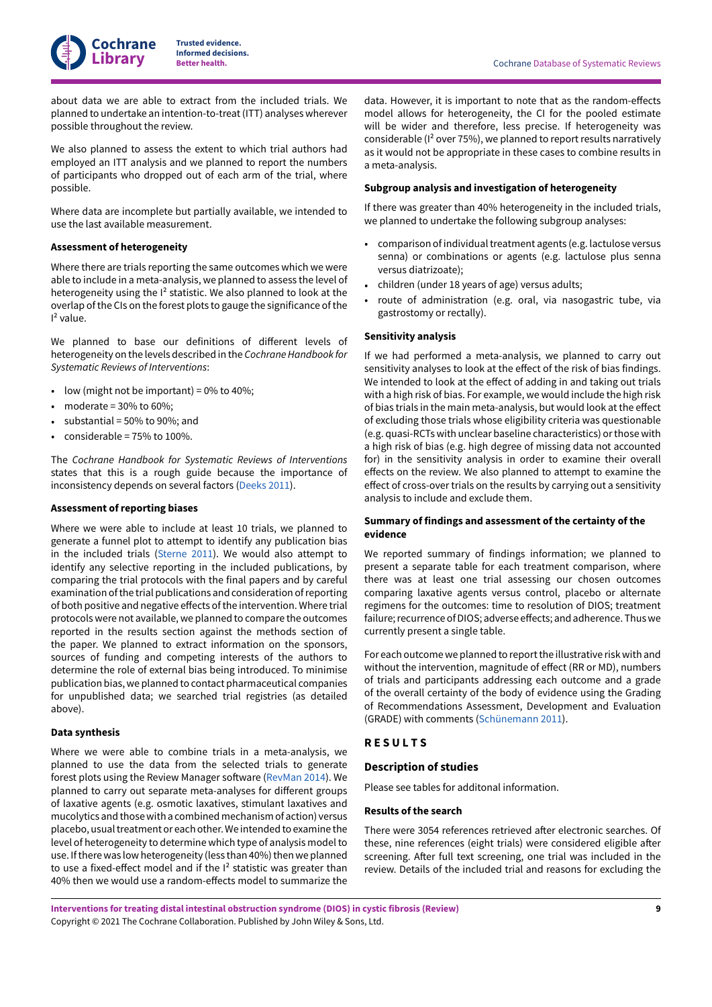about data we are able to extract from the included trials. We planned to undertake an intention-to-treat(ITT) analyses wherever possible throughout the review.

We also planned to assess the extent to which trial authors had employed an ITT analysis and we planned to report the numbers of participants who dropped out of each arm of the trial, where possible.

Where data are incomplete but partially available, we intended to use the last available measurement.

#### **Assessment of heterogeneity**

Where there are trials reporting the same outcomes which we were able to include in a meta-analysis, we planned to assess the level of heterogeneity using the  $I^2$  statistic. We also planned to look at the overlap of the CIs on the forest plots to gauge the significance of the  $I<sup>2</sup>$  value.

We planned to base our definitions of different levels of heterogeneity on the levels described in the Cochrane Handbook for *Systematic Reviews of Interventions*:

- low (might not be important) =  $0\%$  to 40%;
- moderate =  $30\%$  to 60%;
- substantial = 50% to 90%; and
- considerable =  $75%$  to 100%.

The *Cochrane Handbook for Systematic Reviews of Interventions* states that this is a rough guide because the importance of inconsistency depends on several factors [\(Deeks 2011](#page-17-11)).

#### **Assessment of reporting biases**

Where we were able to include at least 10 trials, we planned to generate a funnel plot to attempt to identify any publication bias in the included trials ([Sterne](#page-18-14) 2011). We would also attempt to identify any selective reporting in the included publications, by comparing the trial protocols with the final papers and by careful examination ofthe trial publications and consideration ofreporting of both positive and negative effects of the intervention. Where trial protocols were not available, we planned to compare the outcomes reported in the results section against the methods section of the paper. We planned to extract information on the sponsors, sources of funding and competing interests of the authors to determine the role of external bias being introduced. To minimise publication bias, we planned to contact pharmaceutical companies for unpublished data; we searched trial registries (as detailed above).

#### **Data synthesis**

Where we were able to combine trials in a meta-analysis, we planned to use the data from the selected trials to generate forest plots using the Review Manager software ([RevMan](#page-18-12) 2014). We planned to carry out separate meta-analyses for different groups of laxative agents (e.g. osmotic laxatives, stimulant laxatives and mucolytics and those with a combined mechanism of action) versus placebo, usual treatment or each other. We intended to examine the level of heterogeneity to determine which type of analysis model to use. If there was low heterogeneity (less than 40%) then we planned to use a fixed-effect model and if the  $I<sup>2</sup>$  statistic was greater than 40% then we would use a random-eFects model to summarize the

data. However, it is important to note that as the random-effects model allows for heterogeneity, the CI for the pooled estimate will be wider and therefore, less precise. If heterogeneity was considerable ( $1<sup>2</sup>$  over 75%), we planned to report results narratively as it would not be appropriate in these cases to combine results in a meta-analysis.

#### <span id="page-10-1"></span>**Subgroup analysis and investigation of heterogeneity**

If there was greater than 40% heterogeneity in the included trials, we planned to undertake the following subgroup analyses:

- comparison of individual treatment agents (e.g. lactulose versus senna) or combinations or agents (e.g. lactulose plus senna versus diatrizoate);
- children (under 18 years of age) versus adults;
- route of administration (e.g. oral, via nasogastric tube, via gastrostomy or rectally).

#### **Sensitivity analysis**

If we had performed a meta-analysis, we planned to carry out sensitivity analyses to look at the effect of the risk of bias findings. We intended to look at the effect of adding in and taking out trials with a high risk of bias. For example, we would include the high risk of bias trials in the main meta-analysis, but would look at the eFect of excluding those trials whose eligibility criteria was questionable (e.g. quasi-RCTs with unclear baseline characteristics) orthose with a high risk of bias (e.g. high degree of missing data not accounted for) in the sensitivity analysis in order to examine their overall eFects on the review. We also planned to attempt to examine the eFect of cross-over trials on the results by carrying out a sensitivity analysis to include and exclude them.

## **Summary of findings and assessment of the certainty of the evidence**

We reported summary of findings information; we planned to present a separate table for each treatment comparison, where there was at least one trial assessing our chosen outcomes comparing laxative agents versus control, placebo or alternate regimens for the outcomes: time to resolution of DIOS; treatment failure; recurrence of DIOS; adverse effects; and adherence. Thus we currently present a single table.

For each outcome we planned to report the illustrative risk with and without the intervention, magnitude of effect (RR or MD), numbers of trials and participants addressing each outcome and a grade of the overall certainty of the body of evidence using the Grading of Recommendations Assessment, Development and Evaluation (GRADE) with comments ([Schünemann 2011](#page-18-15)).

#### <span id="page-10-0"></span>**R E S U L T S**

#### **Description of studies**

Please see tables for additonal information.

#### **Results of the search**

There were 3054 references retrieved after electronic searches. Of these, nine references (eight trials) were considered eligible after screening. After full text screening, one trial was included in the review. Details of the included trial and reasons for excluding the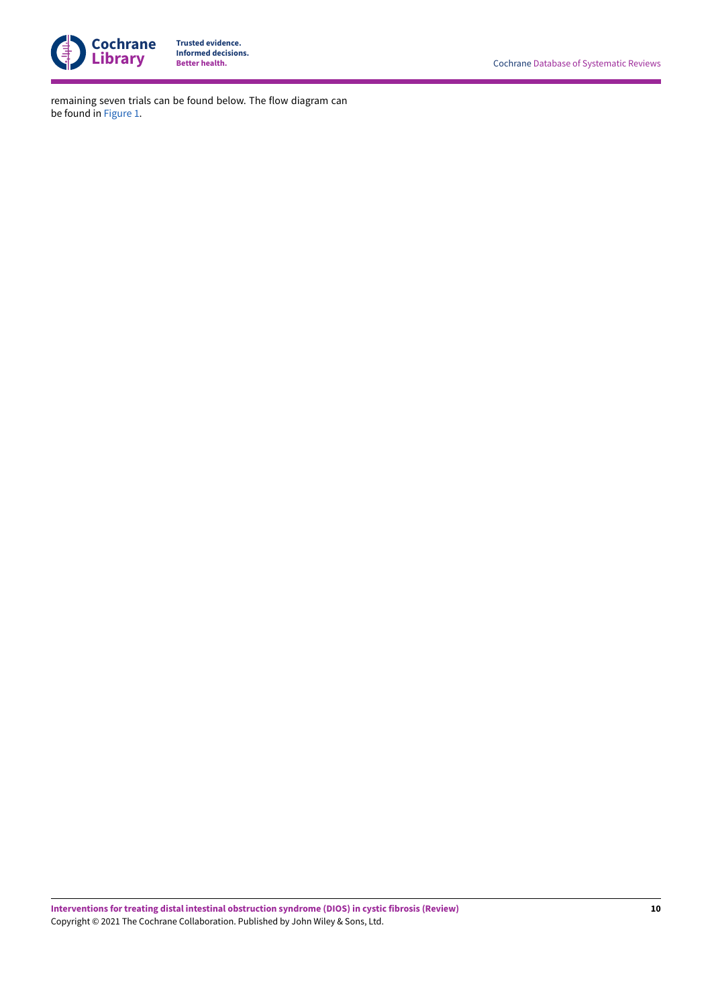

remaining seven trials can be found below. The flow diagram can be found in [Figure](#page-12-0) 1.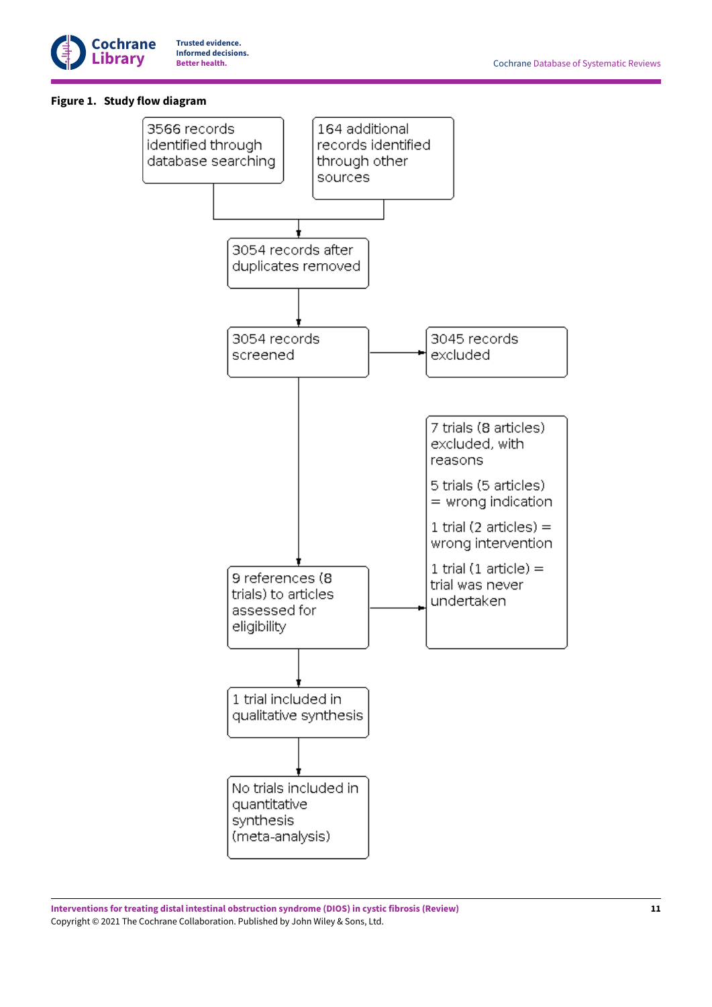

## <span id="page-12-0"></span>**Figure 1. Study flow diagram**



**Interventions for treating distal intestinal obstruction syndrome (DIOS) in cystic fibrosis (Review)** Copyright © 2021 The Cochrane Collaboration. Published by John Wiley & Sons, Ltd.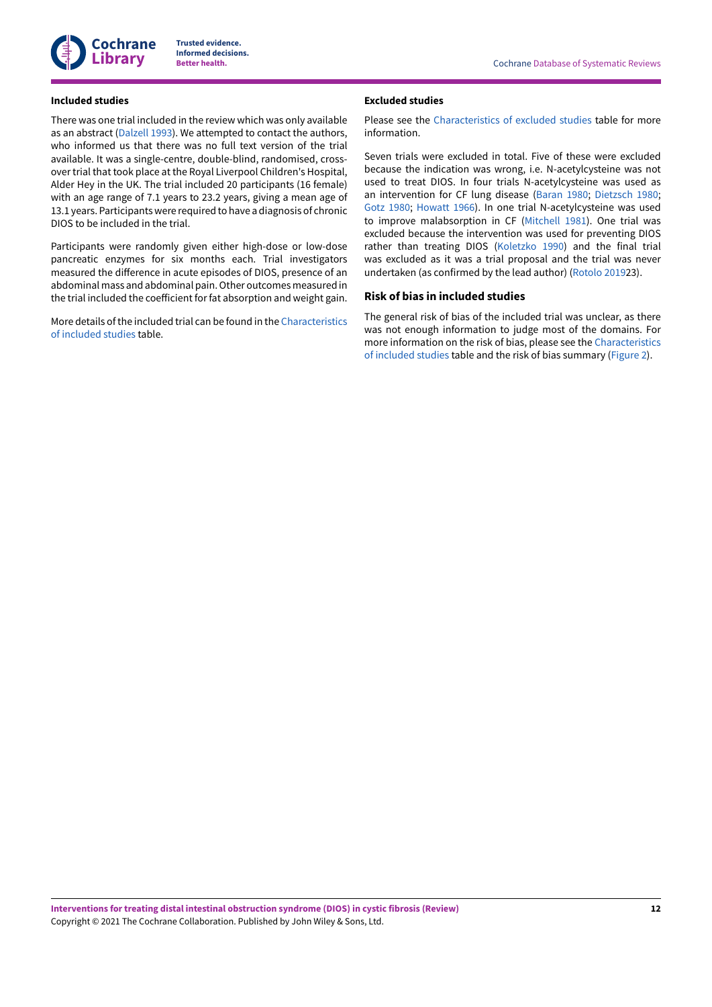

#### **Included studies**

There was one trial included in the review which was only available as an abstract [\(Dalzell](#page-17-12) 1993). We attempted to contact the authors, who informed us that there was no full text version of the trial available. It was a single-centre, double-blind, randomised, crossover trial that took place at the Royal Liverpool Children's Hospital, Alder Hey in the UK. The trial included 20 participants (16 female) with an age range of 7.1 years to 23.2 years, giving a mean age of 13.1 years. Participantswere required to have a diagnosis of chronic DIOS to be included in the trial.

Participants were randomly given either high-dose or low-dose pancreatic enzymes for six months each. Trial investigators measured the diFerence in acute episodes of DIOS, presence of an abdominal mass and abdominal pain.Other outcomes measured in the trial included the coefficient for fat absorption and weight gain.

More details ofthe included trial can be found in the [Characteristics](#page-18-16) of [included](#page-18-16) studies table.

#### **Excluded studies**

Please see the [Characteristics](#page-20-2) of excluded studies table for more information.

Seven trials were excluded in total. Five of these were excluded because the indication was wrong, i.e. N-acetylcysteine was not used to treat DIOS. In four trials N-acetylcysteine was used as an intervention for CF lung disease [\(Baran](#page-17-13) 1980; [Dietzsch](#page-17-14) 1980; Gotz [1980;](#page-17-15) [Howatt](#page-17-16) 1966). In one trial N-acetylcysteine was used to improve malabsorption in CF ([Mitchell](#page-17-17) 1981). One trial was excluded because the intervention was used for preventing DIOS rather than treating DIOS ([Koletzko](#page-17-18) 1990) and the final trial was excluded as it was a trial proposal and the trial was never undertaken (as confirmed by the lead author) ([Rotolo](#page-17-19) 201923).

#### **Risk of bias in included studies**

The general risk of bias of the included trial was unclear, as there was not enough information to judge most of the domains. For more information on the risk of bias, please see the [Characteristics](#page-18-16) of [included](#page-18-16) studies table and the risk of bias summary [\(Figure](#page-14-0) 2).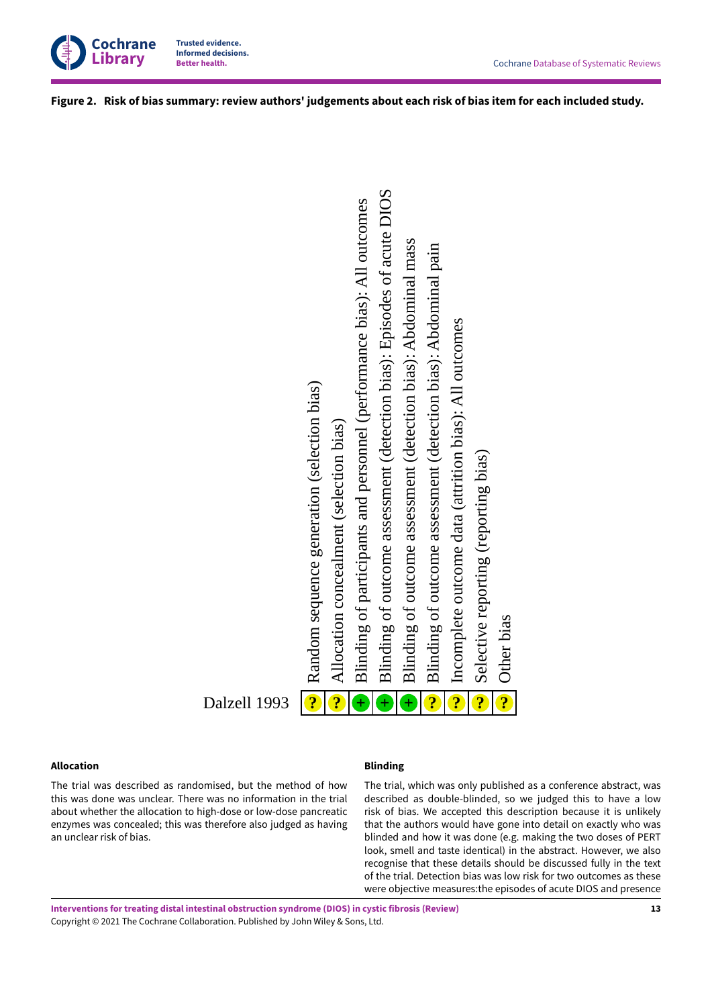

<span id="page-14-0"></span>Figure 2. Risk of bias summary: review authors' judgements about each risk of bias item for each included study.



#### **Allocation**

## **Blinding**

The trial was described as randomised, but the method of how this was done was unclear. There was no information in the trial about whether the allocation to high-dose or low-dose pancreatic enzymes was concealed; this was therefore also judged as having an unclear risk of bias.

The trial, which was only published as a conference abstract, was described as double-blinded, so we judged this to have a low risk of bias. We accepted this description because it is unlikely that the authors would have gone into detail on exactly who was blinded and how it was done (e.g. making the two doses of PERT look, smell and taste identical) in the abstract. However, we also recognise that these details should be discussed fully in the text of the trial. Detection bias was low risk for two outcomes as these were objective measures:the episodes of acute DIOS and presence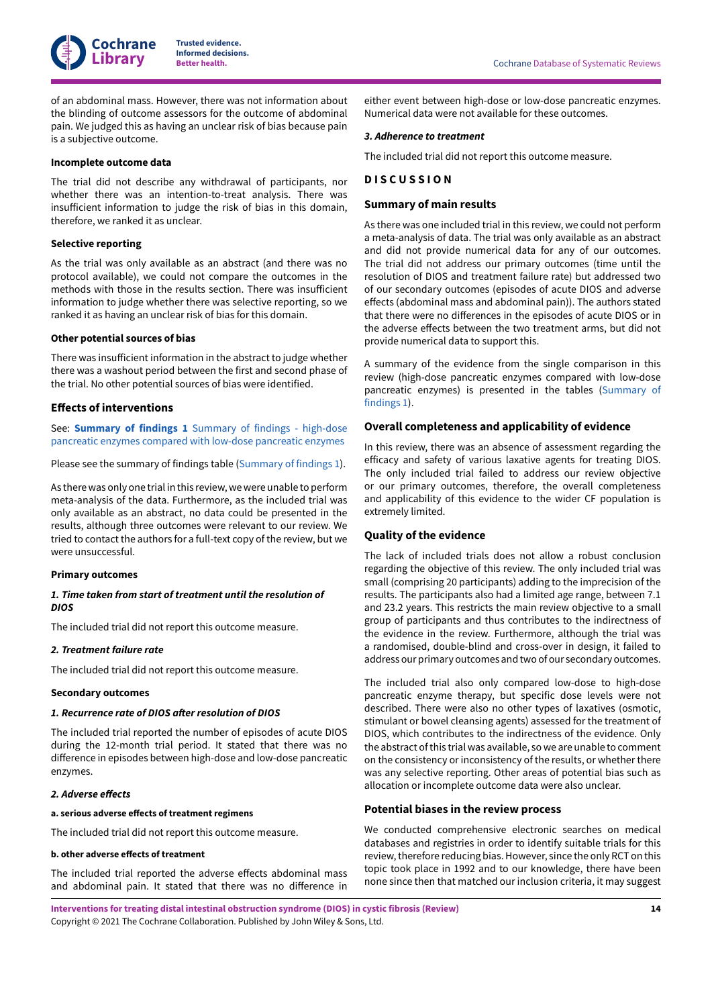of an abdominal mass. However, there was not information about the blinding of outcome assessors for the outcome of abdominal pain. We judged this as having an unclear risk of bias because pain is a subjective outcome.

#### **Incomplete outcome data**

The trial did not describe any withdrawal of participants, nor whether there was an intention-to-treat analysis. There was insufficient information to judge the risk of bias in this domain, therefore, we ranked it as unclear.

#### **Selective reporting**

As the trial was only available as an abstract (and there was no protocol available), we could not compare the outcomes in the methods with those in the results section. There was insufficient information to judge whether there was selective reporting, so we ranked it as having an unclear risk of bias for this domain.

#### **Other potential sources of bias**

There was insufficient information in the abstract to judge whether there was a washout period between the first and second phase of the trial. No other potential sources of bias were identified.

#### **Effects of interventions**

See: **[Summary](#page-4-1) of findings 1** Summary of findings - high-dose pancreatic enzymes compared with low-dose [pancreatic](#page-4-1) enzymes

Please see the summary of findings table ([Summary](#page-4-1) of findings 1).

As there was only one trial in this review, we were unable to perform meta-analysis of the data. Furthermore, as the included trial was only available as an abstract, no data could be presented in the results, although three outcomes were relevant to our review. We tried to contact the authors for a full-text copy of the review, but we were unsuccessful.

#### **Primary outcomes**

## *1. Time taken from start of treatment until the resolution of DIOS*

The included trial did not report this outcome measure.

#### *2. Treatment failure rate*

The included trial did not report this outcome measure.

#### **Secondary outcomes**

#### *1. Recurrence rate of DIOS a'er resolution of DIOS*

The included trial reported the number of episodes of acute DIOS during the 12-month trial period. It stated that there was no diFerence in episodes between high-dose and low-dose pancreatic enzymes.

## *2. Adverse e\*ects*

#### **a. serious adverse e>ects of treatment regimens**

The included trial did not report this outcome measure.

#### **b. other** adverse effects of treatment

The included trial reported the adverse effects abdominal mass and abdominal pain. It stated that there was no difference in

either event between high-dose or low-dose pancreatic enzymes. Numerical data were not available for these outcomes.

#### *3. Adherence to treatment*

The included trial did not report this outcome measure.

#### <span id="page-15-0"></span>**D I S C U S S I O N**

#### **Summary of main results**

As there was one included trial in this review, we could not perform a meta-analysis of data. The trial was only available as an abstract and did not provide numerical data for any of our outcomes. The trial did not address our primary outcomes (time until the resolution of DIOS and treatment failure rate) but addressed two of our secondary outcomes (episodes of acute DIOS and adverse eFects (abdominal mass and abdominal pain)). The authors stated that there were no diFerences in the episodes of acute DIOS or in the adverse effects between the two treatment arms, but did not provide numerical data to support this.

A summary of the evidence from the single comparison in this review (high-dose pancreatic enzymes compared with low-dose pancreatic enzymes) is presented in the tables ([Summary](#page-4-1) of [findings 1](#page-4-1)).

#### **Overall completeness and applicability of evidence**

In this review, there was an absence of assessment regarding the eFicacy and safety of various laxative agents for treating DIOS. The only included trial failed to address our review objective or our primary outcomes, therefore, the overall completeness and applicability of this evidence to the wider CF population is extremely limited.

#### **Quality of the evidence**

The lack of included trials does not allow a robust conclusion regarding the objective of this review. The only included trial was small (comprising 20 participants) adding to the imprecision of the results. The participants also had a limited age range, between 7.1 and 23.2 years. This restricts the main review objective to a small group of participants and thus contributes to the indirectness of the evidence in the review. Furthermore, although the trial was a randomised, double-blind and cross-over in design, it failed to address our primary outcomes and two of our secondary outcomes.

The included trial also only compared low-dose to high-dose pancreatic enzyme therapy, but specific dose levels were not described. There were also no other types of laxatives (osmotic, stimulant or bowel cleansing agents) assessed for the treatment of DIOS, which contributes to the indirectness of the evidence. Only the abstract ofthis trial was available, so we are unable to comment on the consistency or inconsistency of the results, or whether there was any selective reporting. Other areas of potential bias such as allocation or incomplete outcome data were also unclear.

#### **Potential biases in the review process**

We conducted comprehensive electronic searches on medical databases and registries in order to identify suitable trials for this review, therefore reducing bias. However, since the only RCT on this topic took place in 1992 and to our knowledge, there have been none since then that matched our inclusion criteria, it may suggest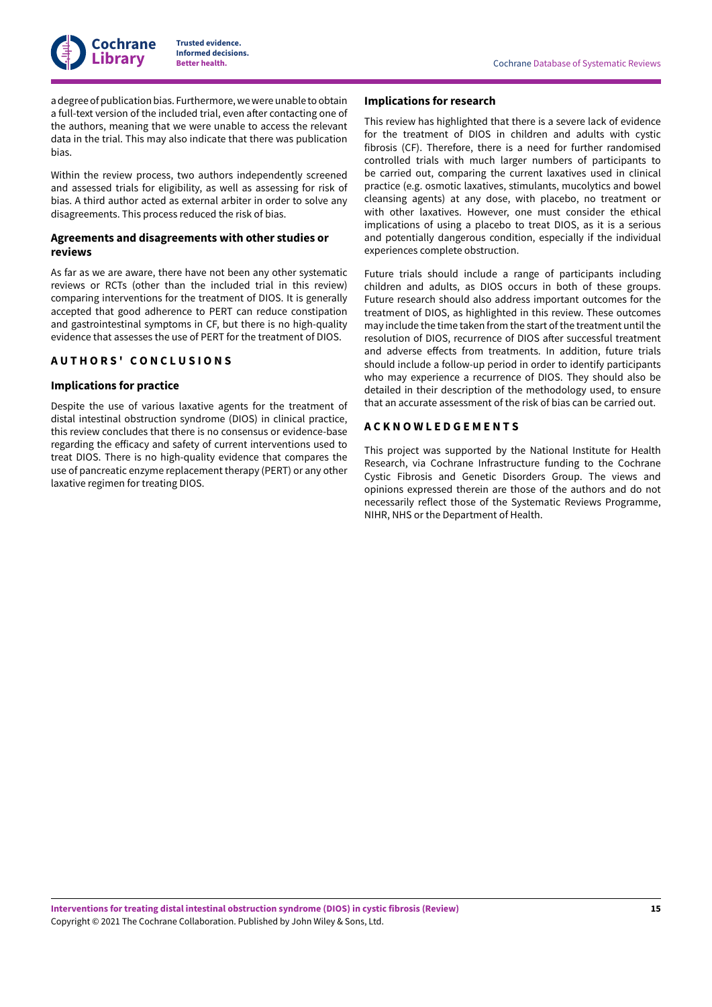

a degree of publication bias. Furthermore, we were unable to obtain a full-text version of the included trial, even after contacting one of the authors, meaning that we were unable to access the relevant data in the trial. This may also indicate that there was publication bias.

Within the review process, two authors independently screened and assessed trials for eligibility, as well as assessing for risk of bias. A third author acted as external arbiter in order to solve any disagreements. This process reduced the risk of bias.

## **Agreements and disagreements with other studies or reviews**

As far as we are aware, there have not been any other systematic reviews or RCTs (other than the included trial in this review) comparing interventions for the treatment of DIOS. It is generally accepted that good adherence to PERT can reduce constipation and gastrointestinal symptoms in CF, but there is no high-quality evidence that assesses the use of PERT for the treatment of DIOS.

# <span id="page-16-0"></span>**A U T H O R S ' C O N C L U S I O N S**

#### **Implications for practice**

Despite the use of various laxative agents for the treatment of distal intestinal obstruction syndrome (DIOS) in clinical practice, this review concludes that there is no consensus or evidence-base regarding the eFicacy and safety of current interventions used to treat DIOS. There is no high-quality evidence that compares the use of pancreatic enzyme replacement therapy (PERT) or any other laxative regimen for treating DIOS.

#### **Implications for research**

This review has highlighted that there is a severe lack of evidence for the treatment of DIOS in children and adults with cystic fibrosis (CF). Therefore, there is a need for further randomised controlled trials with much larger numbers of participants to be carried out, comparing the current laxatives used in clinical practice (e.g. osmotic laxatives, stimulants, mucolytics and bowel cleansing agents) at any dose, with placebo, no treatment or with other laxatives. However, one must consider the ethical implications of using a placebo to treat DIOS, as it is a serious and potentially dangerous condition, especially if the individual experiences complete obstruction.

Future trials should include a range of participants including children and adults, as DIOS occurs in both of these groups. Future research should also address important outcomes for the treatment of DIOS, as highlighted in this review. These outcomes may include the time taken from the start of the treatment until the resolution of DIOS, recurrence of DIOS after successful treatment and adverse effects from treatments. In addition, future trials should include a follow-up period in order to identify participants who may experience a recurrence of DIOS. They should also be detailed in their description of the methodology used, to ensure that an accurate assessment of the risk of bias can be carried out.

## <span id="page-16-1"></span>**A C K N O W L E D G E M E N T S**

This project was supported by the National Institute for Health Research, via Cochrane Infrastructure funding to the Cochrane Cystic Fibrosis and Genetic Disorders Group. The views and opinions expressed therein are those of the authors and do not necessarily reflect those of the Systematic Reviews Programme, NIHR, NHS or the Department of Health.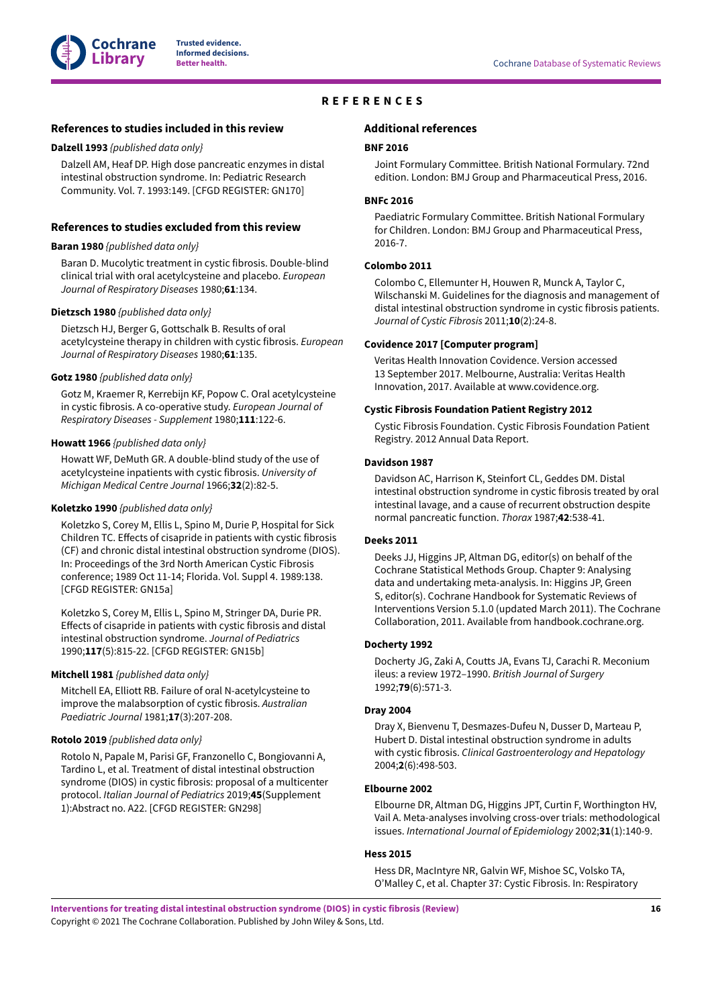

## **REFERENCES**

#### <span id="page-17-0"></span>**References to studies included in this review**

#### <span id="page-17-12"></span>**Dalzell 1993** *{published data only}*

Dalzell AM, Heaf DP. High dose pancreatic enzymes in distal intestinal obstruction syndrome. In: Pediatric Research Community. Vol. 7. 1993:149. [CFGD REGISTER: GN170]

## **References to studies excluded from this review**

#### <span id="page-17-13"></span>**Baran 1980** *{published data only}*

Baran D. Mucolytic treatment in cystic fibrosis. Double-blind clinical trial with oral acetylcysteine and placebo. *European Journal of Respiratory Diseases* 1980;**61**:134.

#### <span id="page-17-14"></span>**Dietzsch 1980** *{published data only}*

Dietzsch HJ, Berger G, Gottschalk B. Results of oral acetylcysteine therapy in children with cystic fibrosis. *European Journal of Respiratory Diseases* 1980;**61**:135.

#### <span id="page-17-15"></span>**Gotz 1980** *{published data only}*

Gotz M, Kraemer R, Kerrebijn KF, Popow C. Oral acetylcysteine in cystic fibrosis. A co-operative study. *European Journal of Respiratory Diseases - Supplement* 1980;**111**:122-6.

## <span id="page-17-16"></span>**Howatt 1966** *{published data only}*

Howatt WF, DeMuth GR. A double-blind study of the use of acetylcysteine inpatients with cystic fibrosis. *University of Michigan Medical Centre Journal* 1966;**32**(2):82-5.

#### <span id="page-17-18"></span>**Koletzko 1990** *{published data only}*

Koletzko S, Corey M, Ellis L, Spino M, Durie P, Hospital for Sick Children TC. EFects of cisapride in patients with cystic fibrosis (CF) and chronic distal intestinal obstruction syndrome (DIOS). In: Proceedings of the 3rd North American Cystic Fibrosis conference; 1989 Oct 11-14; Florida. Vol. Suppl 4. 1989:138. [CFGD REGISTER: GN15a]

Koletzko S, Corey M, Ellis L, Spino M, Stringer DA, Durie PR. EFects of cisapride in patients with cystic fibrosis and distal intestinal obstruction syndrome. *Journal of Pediatrics* 1990;**117**(5):815-22. [CFGD REGISTER: GN15b]

#### <span id="page-17-17"></span>**Mitchell 1981** *{published data only}*

Mitchell EA, Elliott RB. Failure of oral N-acetylcysteine to improve the malabsorption of cystic fibrosis. *Australian Paediatric Journal* 1981;**17**(3):207-208.

#### <span id="page-17-19"></span>**Rotolo 2019** *{published data only}*

Rotolo N, Papale M, Parisi GF, Franzonello C, Bongiovanni A, Tardino L, et al. Treatment of distal intestinal obstruction syndrome (DIOS) in cystic fibrosis: proposal of a multicenter protocol. *Italian Journal of Pediatrics* 2019;**45**(Supplement 1):Abstract no. A22. [CFGD REGISTER: GN298]

## **Additional references**

#### <span id="page-17-6"></span>**BNF 2016**

Joint Formulary Committee. British National Formulary. 72nd edition. London: BMJ Group and Pharmaceutical Press, 2016.

#### <span id="page-17-7"></span>**BNFc 2016**

Paediatric Formulary Committee. British National Formulary for Children. London: BMJ Group and Pharmaceutical Press, 2016-7.

## <span id="page-17-2"></span>**Colombo 2011**

Colombo C, Ellemunter H, Houwen R, Munck A, Taylor C, Wilschanski M. Guidelines for the diagnosis and management of distal intestinal obstruction syndrome in cystic fibrosis patients. *Journal of Cystic Fibrosis* 2011;**10**(2):24-8.

#### <span id="page-17-9"></span>**Covidence 2017 [Computer program]**

Veritas Health Innovation Covidence. Version accessed 13 September 2017. Melbourne, Australia: Veritas Health Innovation, 2017. Available at www.covidence.org.

#### <span id="page-17-1"></span>**Cystic Fibrosis Foundation Patient Registry 2012**

Cystic Fibrosis Foundation. Cystic Fibrosis Foundation Patient Registry. 2012 Annual Data Report.

## <span id="page-17-3"></span>**Davidson 1987**

Davidson AC, Harrison K, Steinfort CL, Geddes DM. Distal intestinal obstruction syndrome in cystic fibrosis treated by oral intestinal lavage, and a cause of recurrent obstruction despite normal pancreatic function. *Thorax* 1987;**42**:538-41.

### <span id="page-17-11"></span>**Deeks 2011**

Deeks JJ, Higgins JP, Altman DG, editor(s) on behalf of the Cochrane Statistical Methods Group. Chapter 9: Analysing data and undertaking meta-analysis. In: Higgins JP, Green S, editor(s). Cochrane Handbook for Systematic Reviews of Interventions Version 5.1.0 (updated March 2011). The Cochrane Collaboration, 2011. Available from handbook.cochrane.org.

#### <span id="page-17-8"></span>**Docherty 1992**

Docherty JG, Zaki A, Coutts JA, Evans TJ, Carachi R. Meconium ileus: a review 1972–1990. *British Journal of Surgery* 1992;**79**(6):571-3.

#### <span id="page-17-4"></span>**Dray 2004**

Dray X, Bienvenu T, Desmazes-Dufeu N, Dusser D, Marteau P, Hubert D. Distal intestinal obstruction syndrome in adults with cystic fibrosis. *Clinical Gastroenterology and Hepatology* 2004;**2**(6):498-503.

#### <span id="page-17-10"></span>**Elbourne 2002**

Elbourne DR, Altman DG, Higgins JPT, Curtin F, Worthington HV, Vail A. Meta-analyses involving cross-over trials: methodological issues. *International Journal of Epidemiology* 2002;**31**(1):140-9.

#### <span id="page-17-5"></span>**Hess 2015**

Hess DR, MacIntyre NR, Galvin WF, Mishoe SC, Volsko TA, O'Malley C, et al. Chapter 37: Cystic Fibrosis. In: Respiratory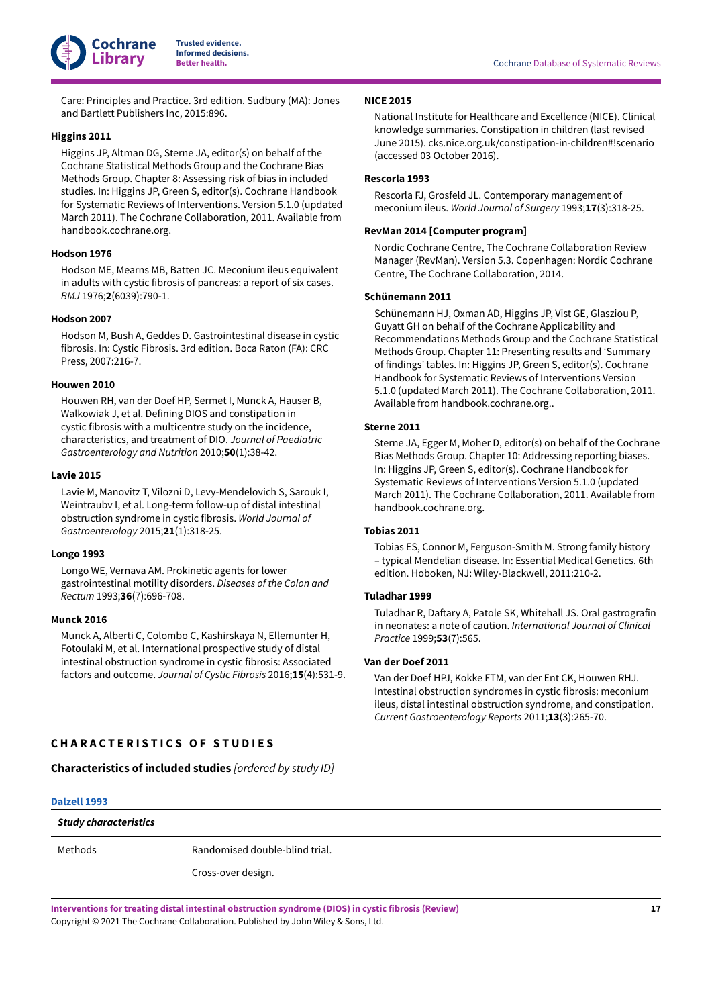

Care: Principles and Practice. 3rd edition. Sudbury (MA): Jones and Bartlett Publishers Inc, 2015:896.

#### <span id="page-18-13"></span>**Higgins 2011**

Higgins JP, Altman DG, Sterne JA, editor(s) on behalf of the Cochrane Statistical Methods Group and the Cochrane Bias Methods Group. Chapter 8: Assessing risk of bias in included studies. In: Higgins JP, Green S, editor(s). Cochrane Handbook for Systematic Reviews of Interventions. Version 5.1.0 (updated March 2011). The Cochrane Collaboration, 2011. Available from handbook.cochrane.org.

## <span id="page-18-9"></span>**Hodson 1976**

Hodson ME, Mearns MB, Batten JC. Meconium ileus equivalent in adults with cystic fibrosis of pancreas: a report of six cases. *BMJ* 1976;**2**(6039):790-1.

### <span id="page-18-11"></span>**Hodson 2007**

Hodson M, Bush A, Geddes D. Gastrointestinal disease in cystic fibrosis. In: Cystic Fibrosis. 3rd edition. Boca Raton (FA): CRC Press, 2007:216-7.

#### <span id="page-18-4"></span>**Houwen 2010**

Houwen RH, van der Doef HP, Sermet I, Munck A, Hauser B, Walkowiak J, et al. Defining DIOS and constipation in cystic fibrosis with a multicentre study on the incidence, characteristics, and treatment of DIO. *Journal of Paediatric Gastroenterology and Nutrition* 2010;**50**(1):38-42.

#### <span id="page-18-10"></span>**Lavie 2015**

Lavie M, Manovitz T, Vilozni D, Levy-Mendelovich S, Sarouk I, Weintraubv I, et al. Long-term follow-up of distal intestinal obstruction syndrome in cystic fibrosis. *World Journal of Gastroenterology* 2015;**21**(1):318-25.

#### <span id="page-18-7"></span>**Longo 1993**

Longo WE, Vernava AM. Prokinetic agents for lower gastrointestinal motility disorders. *Diseases of the Colon and Rectum* 1993;**36**(7):696-708.

#### <span id="page-18-2"></span>**Munck 2016**

Munck A, Alberti C, Colombo C, Kashirskaya N, Ellemunter H, Fotoulaki M, et al. International prospective study of distal intestinal obstruction syndrome in cystic fibrosis: Associated factors and outcome. *Journal of Cystic Fibrosis* 2016;**15**(4):531-9.

## <span id="page-18-0"></span>**C H A R A C T E R I S T I C S O F S T U D I E S**

<span id="page-18-16"></span>**Characteristics of included studies** *[ordered by study ID]*

#### **[Dalzell](#page-17-12) 1993**

*Study characteristics*

Methods Randomised double-blind trial.

Cross-over design.

**Interventions for treating distal intestinal obstruction syndrome (DIOS) in cystic fibrosis (Review)** Copyright © 2021 The Cochrane Collaboration. Published by John Wiley & Sons, Ltd.

#### <span id="page-18-5"></span>**NICE 2015**

National Institute for Healthcare and Excellence (NICE). Clinical knowledge summaries. Constipation in children (last revised June 2015). cks.nice.org.uk/constipation-in-children#!scenario (accessed 03 October 2016).

## <span id="page-18-8"></span>**Rescorla 1993**

Rescorla FJ, Grosfeld JL. Contemporary management of meconium ileus. *World Journal of Surgery* 1993;**17**(3):318-25.

#### <span id="page-18-12"></span>**RevMan 2014 [Computer program]**

Nordic Cochrane Centre, The Cochrane Collaboration Review Manager (RevMan). Version 5.3. Copenhagen: Nordic Cochrane Centre, The Cochrane Collaboration, 2014.

#### <span id="page-18-15"></span>**Schünemann 2011**

Schünemann HJ, Oxman AD, Higgins JP, Vist GE, Glasziou P, Guyatt GH on behalf of the Cochrane Applicability and Recommendations Methods Group and the Cochrane Statistical Methods Group. Chapter 11: Presenting results and 'Summary of findings' tables. In: Higgins JP, Green S, editor(s). Cochrane Handbook for Systematic Reviews of Interventions Version 5.1.0 (updated March 2011). The Cochrane Collaboration, 2011. Available from handbook.cochrane.org..

#### <span id="page-18-14"></span>**Sterne 2011**

Sterne JA, Egger M, Moher D, editor(s) on behalf of the Cochrane Bias Methods Group. Chapter 10: Addressing reporting biases. In: Higgins JP, Green S, editor(s). Cochrane Handbook for Systematic Reviews of Interventions Version 5.1.0 (updated March 2011). The Cochrane Collaboration, 2011. Available from handbook.cochrane.org.

## <span id="page-18-1"></span>**Tobias 2011**

Tobias ES, Connor M, Ferguson-Smith M. Strong family history – typical Mendelian disease. In: Essential Medical Genetics. 6th edition. Hoboken, NJ: Wiley-Blackwell, 2011:210-2.

#### <span id="page-18-6"></span>**Tuladhar 1999**

Tuladhar R, Daftary A, Patole SK, Whitehall JS. Oral gastrografin in neonates: a note of caution. *International Journal of Clinical Practice* 1999;**53**(7):565.

## <span id="page-18-3"></span>**Van der Doef 2011**

Van der Doef HPJ, Kokke FTM, van der Ent CK, Houwen RHJ. Intestinal obstruction syndromes in cystic fibrosis: meconium ileus, distal intestinal obstruction syndrome, and constipation. *Current Gastroenterology Reports* 2011;**13**(3):265-70.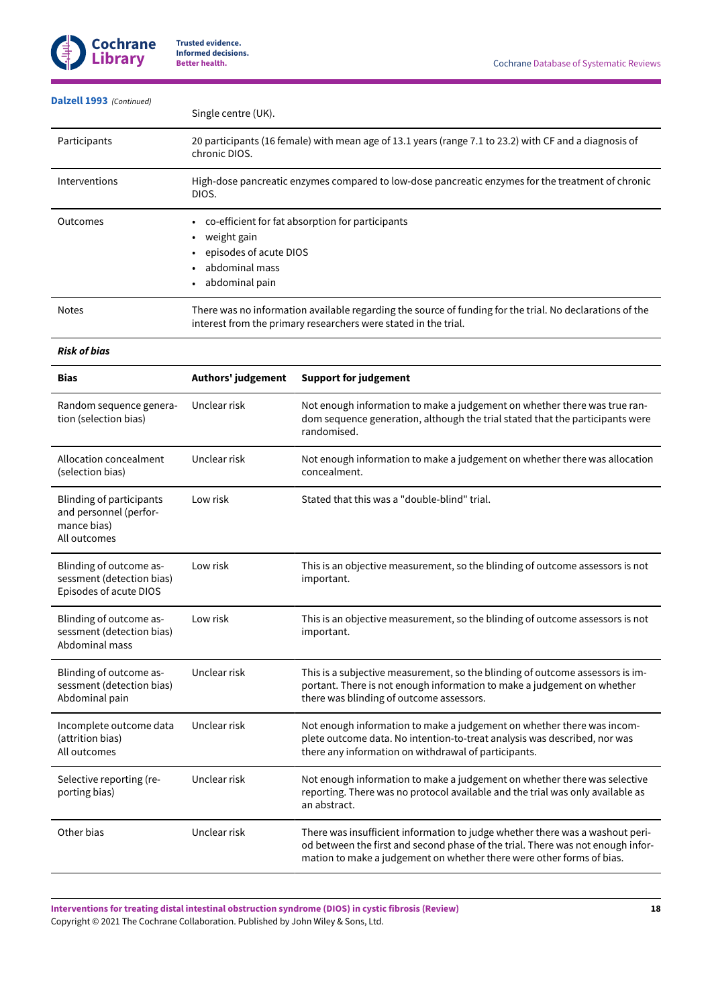

**[Dalzell](#page-17-12) 1993**  *(Continued)*

**Trusted evidence. Informed decisions.**

|                                                                                          | Single centre (UK).                                                                                                                                                         |                                                                                                                                                                                                                                           |  |
|------------------------------------------------------------------------------------------|-----------------------------------------------------------------------------------------------------------------------------------------------------------------------------|-------------------------------------------------------------------------------------------------------------------------------------------------------------------------------------------------------------------------------------------|--|
| Participants                                                                             | 20 participants (16 female) with mean age of 13.1 years (range 7.1 to 23.2) with CF and a diagnosis of<br>chronic DIOS.                                                     |                                                                                                                                                                                                                                           |  |
| Interventions                                                                            | High-dose pancreatic enzymes compared to low-dose pancreatic enzymes for the treatment of chronic<br>DIOS.                                                                  |                                                                                                                                                                                                                                           |  |
| Outcomes                                                                                 | • co-efficient for fat absorption for participants<br>weight gain<br>$\bullet$<br>episodes of acute DIOS<br>abdominal mass<br>abdominal pain                                |                                                                                                                                                                                                                                           |  |
| <b>Notes</b>                                                                             | There was no information available regarding the source of funding for the trial. No declarations of the<br>interest from the primary researchers were stated in the trial. |                                                                                                                                                                                                                                           |  |
| <b>Risk of bias</b>                                                                      |                                                                                                                                                                             |                                                                                                                                                                                                                                           |  |
| Bias                                                                                     | Authors' judgement                                                                                                                                                          | <b>Support for judgement</b>                                                                                                                                                                                                              |  |
| Random sequence genera-<br>tion (selection bias)                                         | Unclear risk                                                                                                                                                                | Not enough information to make a judgement on whether there was true ran-<br>dom sequence generation, although the trial stated that the participants were<br>randomised.                                                                 |  |
| Allocation concealment<br>(selection bias)                                               | Unclear risk                                                                                                                                                                | Not enough information to make a judgement on whether there was allocation<br>concealment.                                                                                                                                                |  |
| <b>Blinding of participants</b><br>and personnel (perfor-<br>mance bias)<br>All outcomes | Low risk                                                                                                                                                                    | Stated that this was a "double-blind" trial.                                                                                                                                                                                              |  |
| Blinding of outcome as-<br>sessment (detection bias)<br>Episodes of acute DIOS           | Low risk                                                                                                                                                                    | This is an objective measurement, so the blinding of outcome assessors is not<br>important.                                                                                                                                               |  |
| Blinding of outcome as-<br>sessment (detection bias)<br>Abdominal mass                   | Low risk                                                                                                                                                                    | This is an objective measurement, so the blinding of outcome assessors is not<br>important.                                                                                                                                               |  |
| Blinding of outcome as-<br>sessment (detection bias)<br>Abdominal pain                   | Unclear risk                                                                                                                                                                | This is a subjective measurement, so the blinding of outcome assessors is im-<br>portant. There is not enough information to make a judgement on whether<br>there was blinding of outcome assessors.                                      |  |
| Incomplete outcome data<br>(attrition bias)<br>All outcomes                              | Unclear risk                                                                                                                                                                | Not enough information to make a judgement on whether there was incom-<br>plete outcome data. No intention-to-treat analysis was described, nor was<br>there any information on withdrawal of participants.                               |  |
| Selective reporting (re-<br>porting bias)                                                | Unclear risk                                                                                                                                                                | Not enough information to make a judgement on whether there was selective<br>reporting. There was no protocol available and the trial was only available as<br>an abstract.                                                               |  |
| Other bias                                                                               | Unclear risk                                                                                                                                                                | There was insufficient information to judge whether there was a washout peri-<br>od between the first and second phase of the trial. There was not enough infor-<br>mation to make a judgement on whether there were other forms of bias. |  |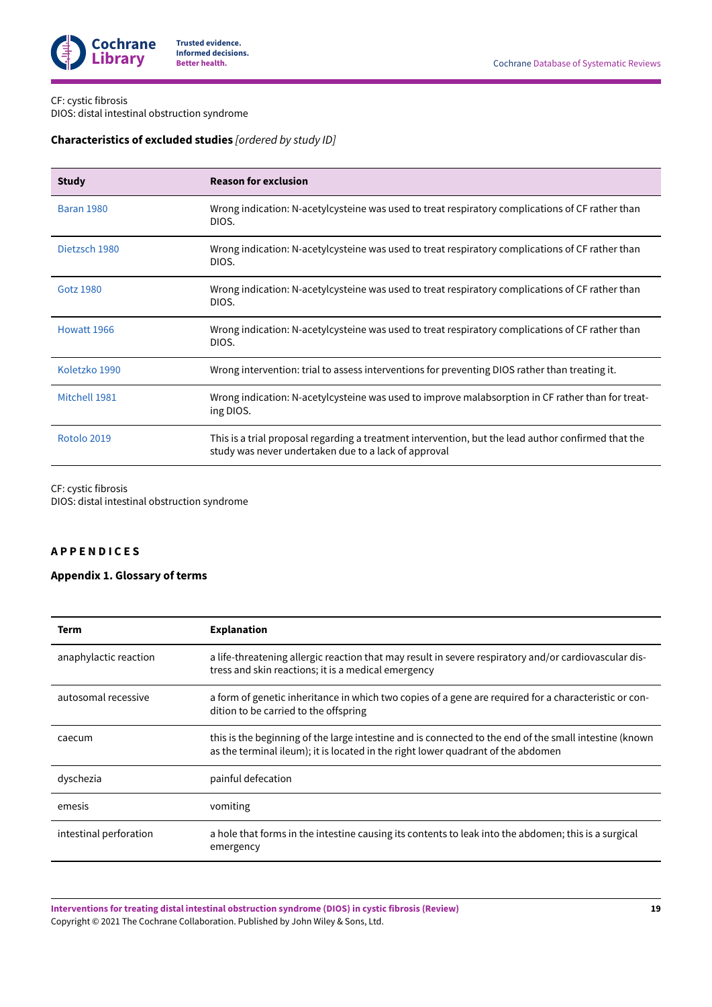

## CF: cystic fibrosis DIOS: distal intestinal obstruction syndrome

# <span id="page-20-2"></span>**Characteristics of excluded studies** *[ordered by study ID]*

| <b>Study</b>      | <b>Reason for exclusion</b>                                                                                                                                 |
|-------------------|-------------------------------------------------------------------------------------------------------------------------------------------------------------|
| <b>Baran 1980</b> | Wrong indication: N-acetylcysteine was used to treat respiratory complications of CF rather than<br>DIOS.                                                   |
| Dietzsch 1980     | Wrong indication: N-acetylcysteine was used to treat respiratory complications of CF rather than<br>DIOS.                                                   |
| Gotz 1980         | Wrong indication: N-acetylcysteine was used to treat respiratory complications of CF rather than<br>DIOS.                                                   |
| Howatt 1966       | Wrong indication: N-acetylcysteine was used to treat respiratory complications of CF rather than<br>DIOS.                                                   |
| Koletzko 1990     | Wrong intervention: trial to assess interventions for preventing DIOS rather than treating it.                                                              |
| Mitchell 1981     | Wrong indication: N-acetylcysteine was used to improve malabsorption in CF rather than for treat-<br>ing DIOS.                                              |
| Rotolo 2019       | This is a trial proposal regarding a treatment intervention, but the lead author confirmed that the<br>study was never undertaken due to a lack of approval |

CF: cystic fibrosis

DIOS: distal intestinal obstruction syndrome

## <span id="page-20-0"></span>**A P P E N D I C E S**

## <span id="page-20-1"></span>**Appendix 1. Glossary of terms**

| Term                   | <b>Explanation</b>                                                                                                                                                                         |
|------------------------|--------------------------------------------------------------------------------------------------------------------------------------------------------------------------------------------|
| anaphylactic reaction  | a life-threatening allergic reaction that may result in severe respiratory and/or cardiovascular dis-<br>tress and skin reactions; it is a medical emergency                               |
| autosomal recessive    | a form of genetic inheritance in which two copies of a gene are required for a characteristic or con-<br>dition to be carried to the offspring                                             |
| caecum                 | this is the beginning of the large intestine and is connected to the end of the small intestine (known<br>as the terminal ileum); it is located in the right lower quadrant of the abdomen |
| dyschezia              | painful defecation                                                                                                                                                                         |
| emesis                 | vomiting                                                                                                                                                                                   |
| intestinal perforation | a hole that forms in the intestine causing its contents to leak into the abdomen; this is a surgical<br>emergency                                                                          |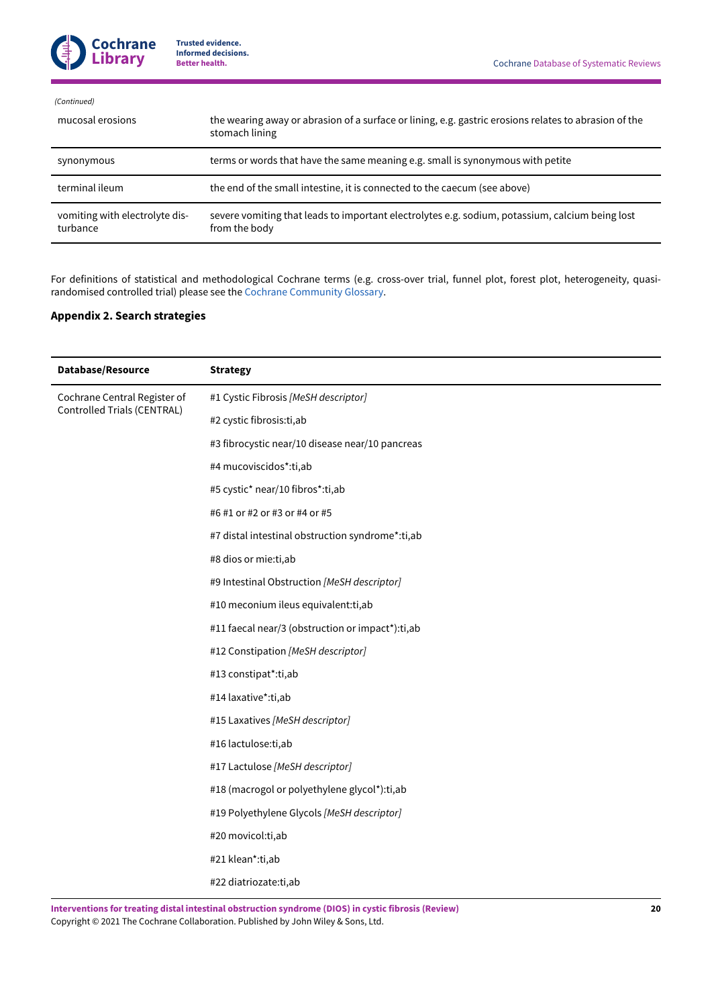## *(Continued)*

| mucosal erosions                           | the wearing away or abrasion of a surface or lining, e.g. gastric erosions relates to abrasion of the<br>stomach lining |
|--------------------------------------------|-------------------------------------------------------------------------------------------------------------------------|
| synonymous                                 | terms or words that have the same meaning e.g. small is synonymous with petite                                          |
| terminal ileum                             | the end of the small intestine, it is connected to the caecum (see above)                                               |
| vomiting with electrolyte dis-<br>turbance | severe vomiting that leads to important electrolytes e.g. sodium, potassium, calcium being lost<br>from the body        |

For definitions of statistical and methodological Cochrane terms (e.g. cross-over trial, funnel plot, forest plot, heterogeneity, quasirandomised controlled trial) please see the Cochrane [Community](http://community.cochrane.org/glossary) Glossary.

# <span id="page-21-0"></span>**Appendix 2.Search strategies**

| Database/Resource                  | <b>Strategy</b>                                  |
|------------------------------------|--------------------------------------------------|
| Cochrane Central Register of       | #1 Cystic Fibrosis [MeSH descriptor]             |
| <b>Controlled Trials (CENTRAL)</b> | #2 cystic fibrosis:ti,ab                         |
|                                    | #3 fibrocystic near/10 disease near/10 pancreas  |
|                                    | #4 mucoviscidos*:ti,ab                           |
|                                    | #5 cystic* near/10 fibros*:ti,ab                 |
|                                    | #6 #1 or #2 or #3 or #4 or #5                    |
|                                    | #7 distal intestinal obstruction syndrome*:ti,ab |
|                                    | #8 dios or mie:ti,ab                             |
|                                    | #9 Intestinal Obstruction [MeSH descriptor]      |
|                                    | #10 meconium ileus equivalent:ti,ab              |
|                                    | #11 faecal near/3 (obstruction or impact*):ti,ab |
|                                    | #12 Constipation [MeSH descriptor]               |
|                                    | #13 constipat*:ti,ab                             |
|                                    | #14 laxative*:ti,ab                              |
|                                    | #15 Laxatives [MeSH descriptor]                  |
|                                    | #16 lactulose:ti,ab                              |
|                                    | #17 Lactulose [MeSH descriptor]                  |
|                                    | #18 (macrogol or polyethylene glycol*):ti,ab     |
|                                    | #19 Polyethylene Glycols [MeSH descriptor]       |
|                                    | #20 movicol:ti,ab                                |
|                                    | #21 klean*:ti,ab                                 |
|                                    | #22 diatriozate:ti,ab                            |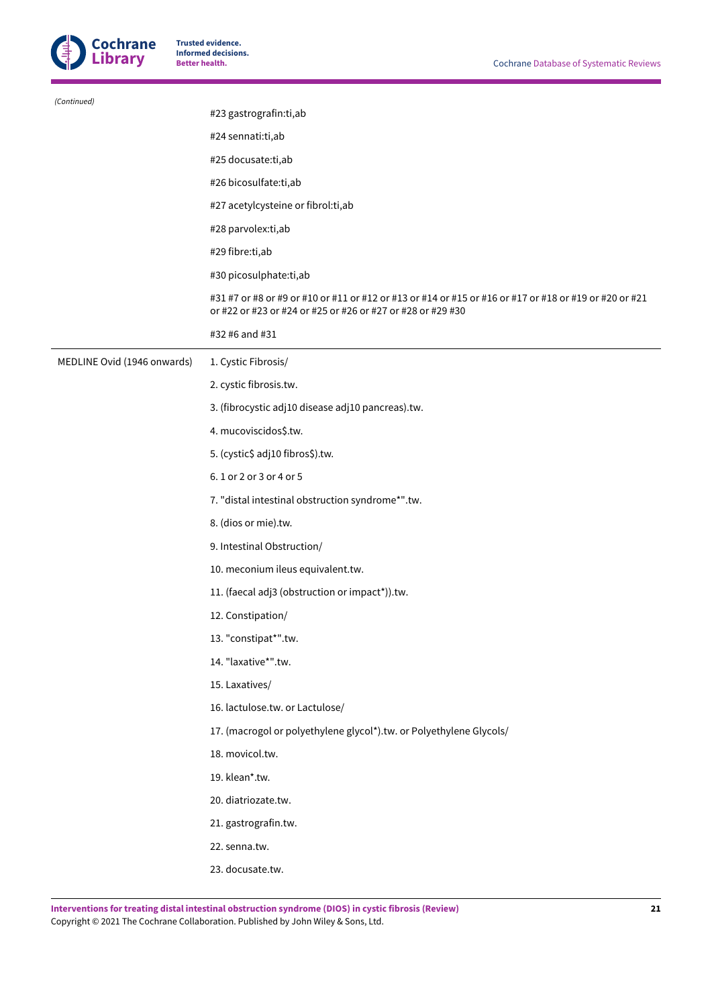

| (Continued)                 |                                                                                                                                                                       |
|-----------------------------|-----------------------------------------------------------------------------------------------------------------------------------------------------------------------|
|                             | #23 gastrografin:ti,ab                                                                                                                                                |
|                             | #24 sennati:ti,ab                                                                                                                                                     |
|                             | #25 docusate:ti,ab                                                                                                                                                    |
|                             | #26 bicosulfate:ti,ab                                                                                                                                                 |
|                             | #27 acetylcysteine or fibrol:ti,ab                                                                                                                                    |
|                             | #28 parvolex:ti,ab                                                                                                                                                    |
|                             | #29 fibre:ti,ab                                                                                                                                                       |
|                             | #30 picosulphate:ti,ab                                                                                                                                                |
|                             | #31 #7 or #8 or #9 or #10 or #11 or #12 or #13 or #14 or #15 or #16 or #17 or #18 or #19 or #20 or #21<br>or #22 or #23 or #24 or #25 or #26 or #27 or #28 or #29 #30 |
|                             | #32 #6 and #31                                                                                                                                                        |
| MEDLINE Ovid (1946 onwards) | 1. Cystic Fibrosis/                                                                                                                                                   |
|                             | 2. cystic fibrosis.tw.                                                                                                                                                |
|                             | 3. (fibrocystic adj10 disease adj10 pancreas).tw.                                                                                                                     |
|                             | 4. mucoviscidos\$.tw.                                                                                                                                                 |
|                             | 5. (cystic\$ adj10 fibros\$).tw.                                                                                                                                      |
|                             | 6.1 or 2 or 3 or 4 or 5                                                                                                                                               |
|                             | 7. "distal intestinal obstruction syndrome*".tw.                                                                                                                      |
|                             | 8. (dios or mie).tw.                                                                                                                                                  |
|                             | 9. Intestinal Obstruction/                                                                                                                                            |
|                             | 10. meconium ileus equivalent.tw.                                                                                                                                     |
|                             | 11. (faecal adj3 (obstruction or impact*)).tw.                                                                                                                        |
|                             | 12. Constipation/                                                                                                                                                     |
|                             | 13. "constipat*".tw.                                                                                                                                                  |
|                             | 14. "laxative*".tw.                                                                                                                                                   |
|                             | 15. Laxatives/                                                                                                                                                        |
|                             | 16. lactulose.tw. or Lactulose/                                                                                                                                       |
|                             | 17. (macrogol or polyethylene glycol*).tw. or Polyethylene Glycols/                                                                                                   |
|                             | 18. movicol.tw.                                                                                                                                                       |
|                             | 19. klean*.tw.                                                                                                                                                        |
|                             | 20. diatriozate.tw.                                                                                                                                                   |
|                             | 21. gastrografin.tw.                                                                                                                                                  |
|                             | 22. senna.tw.                                                                                                                                                         |
|                             | 23. docusate.tw.                                                                                                                                                      |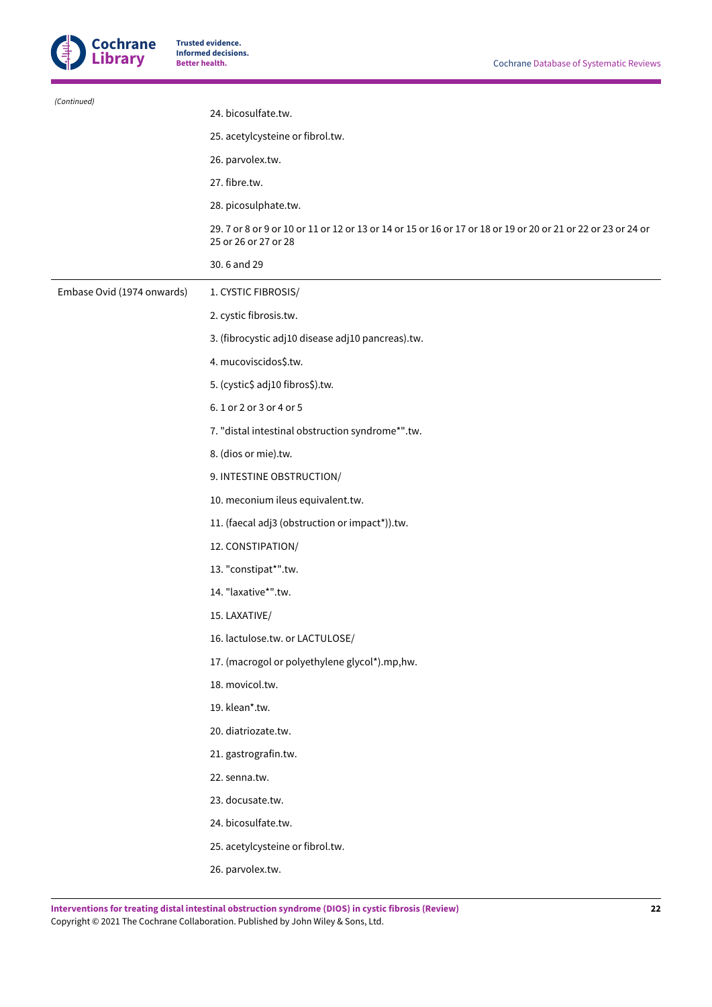

| (Continued)                | 24. bicosulfate.tw.                                                                                                                  |
|----------------------------|--------------------------------------------------------------------------------------------------------------------------------------|
|                            | 25. acetylcysteine or fibrol.tw.                                                                                                     |
|                            | 26. parvolex.tw.                                                                                                                     |
|                            | 27. fibre.tw.                                                                                                                        |
|                            | 28. picosulphate.tw.                                                                                                                 |
|                            | 29. 7 or 8 or 9 or 10 or 11 or 12 or 13 or 14 or 15 or 16 or 17 or 18 or 19 or 20 or 21 or 22 or 23 or 24 or<br>25 or 26 or 27 or 28 |
|                            | 30.6 and 29                                                                                                                          |
| Embase Ovid (1974 onwards) | 1. CYSTIC FIBROSIS/                                                                                                                  |
|                            | 2. cystic fibrosis.tw.                                                                                                               |
|                            | 3. (fibrocystic adj10 disease adj10 pancreas).tw.                                                                                    |
|                            | 4. mucoviscidos\$.tw.                                                                                                                |
|                            | 5. (cystic\$ adj10 fibros\$).tw.                                                                                                     |
|                            | 6.1 or 2 or 3 or 4 or 5                                                                                                              |
|                            | 7. "distal intestinal obstruction syndrome*".tw.                                                                                     |
|                            | 8. (dios or mie).tw.                                                                                                                 |
|                            | 9. INTESTINE OBSTRUCTION/                                                                                                            |
|                            | 10. meconium ileus equivalent.tw.                                                                                                    |
|                            | 11. (faecal adj3 (obstruction or impact*)).tw.                                                                                       |
|                            | 12. CONSTIPATION/                                                                                                                    |
|                            | 13. "constipat*".tw.                                                                                                                 |
|                            | 14. "laxative*".tw.                                                                                                                  |
|                            | 15. LAXATIVE/                                                                                                                        |
|                            | 16. lactulose.tw. or LACTULOSE/                                                                                                      |
|                            | 17. (macrogol or polyethylene glycol*).mp,hw.                                                                                        |
|                            | 18. movicol.tw.                                                                                                                      |
|                            | 19. klean*.tw.                                                                                                                       |
|                            | 20. diatriozate.tw.                                                                                                                  |
|                            | 21. gastrografin.tw.                                                                                                                 |
|                            | 22. senna.tw.                                                                                                                        |
|                            | 23. docusate.tw.                                                                                                                     |
|                            | 24. bicosulfate.tw.                                                                                                                  |
|                            | 25. acetylcysteine or fibrol.tw.                                                                                                     |
|                            | 26. parvolex.tw.                                                                                                                     |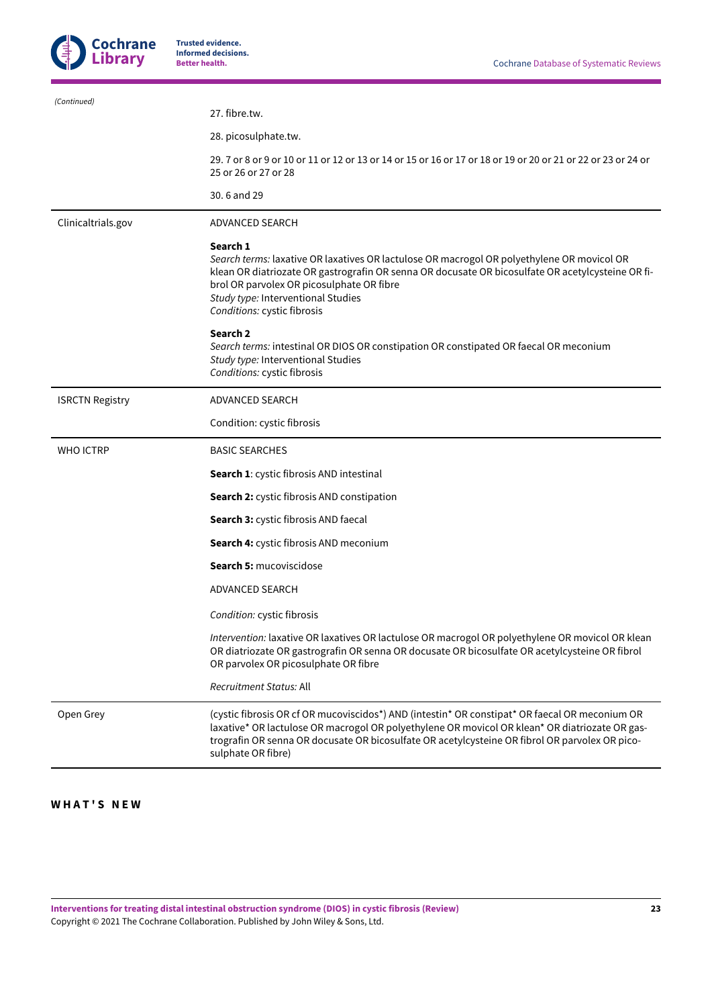**Cochrane Library**

| (Continued)            | 27. fibre.tw.                                                                                                                                                                                                                                                                                                                 |
|------------------------|-------------------------------------------------------------------------------------------------------------------------------------------------------------------------------------------------------------------------------------------------------------------------------------------------------------------------------|
|                        |                                                                                                                                                                                                                                                                                                                               |
|                        | 28. picosulphate.tw.                                                                                                                                                                                                                                                                                                          |
|                        | 29. 7 or 8 or 9 or 10 or 11 or 12 or 13 or 14 or 15 or 16 or 17 or 18 or 19 or 20 or 21 or 22 or 23 or 24 or<br>25 or 26 or 27 or 28                                                                                                                                                                                          |
|                        | 30.6 and 29                                                                                                                                                                                                                                                                                                                   |
| Clinicaltrials.gov     | ADVANCED SEARCH                                                                                                                                                                                                                                                                                                               |
|                        | Search 1<br>Search terms: laxative OR laxatives OR lactulose OR macrogol OR polyethylene OR movicol OR<br>klean OR diatriozate OR gastrografin OR senna OR docusate OR bicosulfate OR acetylcysteine OR fi-<br>brol OR parvolex OR picosulphate OR fibre<br>Study type: Interventional Studies<br>Conditions: cystic fibrosis |
|                        | Search 2<br>Search terms: intestinal OR DIOS OR constipation OR constipated OR faecal OR meconium<br>Study type: Interventional Studies<br>Conditions: cystic fibrosis                                                                                                                                                        |
| <b>ISRCTN Registry</b> | ADVANCED SEARCH                                                                                                                                                                                                                                                                                                               |
|                        | Condition: cystic fibrosis                                                                                                                                                                                                                                                                                                    |
| <b>WHO ICTRP</b>       | <b>BASIC SEARCHES</b>                                                                                                                                                                                                                                                                                                         |
|                        | <b>Search 1: cystic fibrosis AND intestinal</b>                                                                                                                                                                                                                                                                               |
|                        | <b>Search 2:</b> cystic fibrosis AND constipation                                                                                                                                                                                                                                                                             |
|                        | Search 3: cystic fibrosis AND faecal                                                                                                                                                                                                                                                                                          |
|                        | <b>Search 4:</b> cystic fibrosis AND meconium                                                                                                                                                                                                                                                                                 |
|                        | Search 5: mucoviscidose                                                                                                                                                                                                                                                                                                       |
|                        | ADVANCED SEARCH                                                                                                                                                                                                                                                                                                               |
|                        | Condition: cystic fibrosis                                                                                                                                                                                                                                                                                                    |
|                        | Intervention: laxative OR laxatives OR lactulose OR macrogol OR polyethylene OR movicol OR klean<br>OR diatriozate OR gastrografin OR senna OR docusate OR bicosulfate OR acetylcysteine OR fibrol<br>OR parvolex OR picosulphate OR fibre                                                                                    |
|                        | Recruitment Status: All                                                                                                                                                                                                                                                                                                       |
| Open Grey              | (cystic fibrosis OR cf OR mucoviscidos*) AND (intestin* OR constipat* OR faecal OR meconium OR<br>laxative* OR lactulose OR macrogol OR polyethylene OR movicol OR klean* OR diatriozate OR gas-<br>trografin OR senna OR docusate OR bicosulfate OR acetylcysteine OR fibrol OR parvolex OR pico-<br>sulphate OR fibre)      |

# <span id="page-24-0"></span>**W H A T ' S N E W**

 $\overline{a}$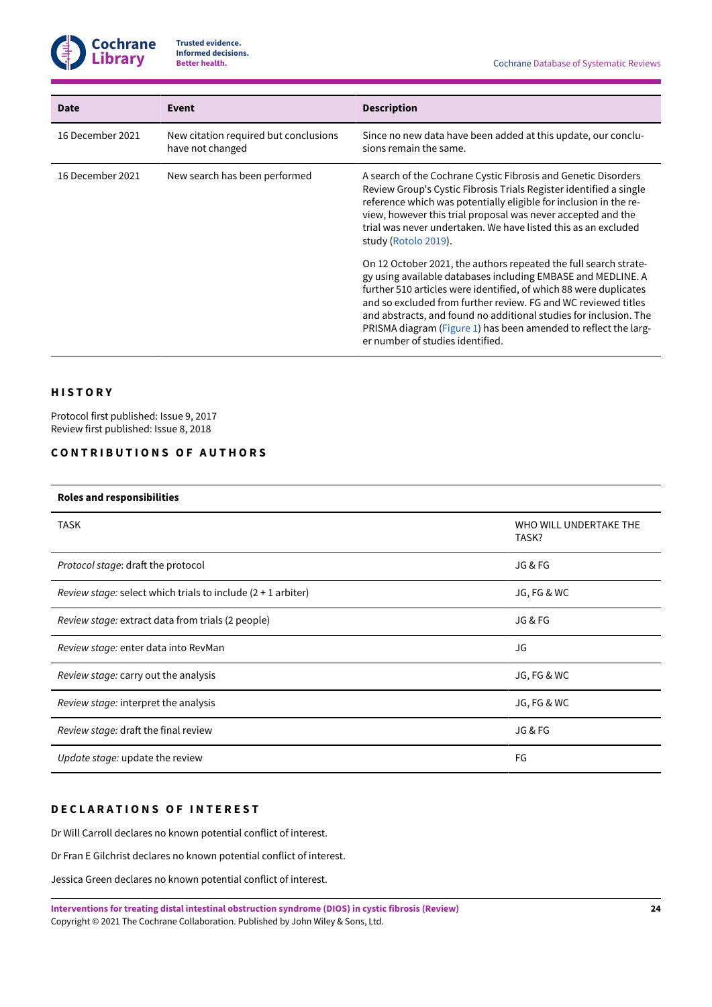| <b>Date</b>      | Event                                                     | <b>Description</b>                                                                                                                                                                                                                                                                                                                                                                                                                                  |
|------------------|-----------------------------------------------------------|-----------------------------------------------------------------------------------------------------------------------------------------------------------------------------------------------------------------------------------------------------------------------------------------------------------------------------------------------------------------------------------------------------------------------------------------------------|
| 16 December 2021 | New citation required but conclusions<br>have not changed | Since no new data have been added at this update, our conclu-<br>sions remain the same.                                                                                                                                                                                                                                                                                                                                                             |
| 16 December 2021 | New search has been performed                             | A search of the Cochrane Cystic Fibrosis and Genetic Disorders<br>Review Group's Cystic Fibrosis Trials Register identified a single<br>reference which was potentially eligible for inclusion in the re-<br>view, however this trial proposal was never accepted and the<br>trial was never undertaken. We have listed this as an excluded<br>study (Rotolo 2019).                                                                                 |
|                  |                                                           | On 12 October 2021, the authors repeated the full search strate-<br>gy using available databases including EMBASE and MEDLINE. A<br>further 510 articles were identified, of which 88 were duplicates<br>and so excluded from further review. FG and WC reviewed titles<br>and abstracts, and found no additional studies for inclusion. The<br>PRISMA diagram (Figure 1) has been amended to reflect the larg-<br>er number of studies identified. |

## <span id="page-25-0"></span>**H I S T O R Y**

Protocol first published: Issue 9, 2017 Review first published: Issue 8, 2018

## <span id="page-25-1"></span>**C O N T R I B U T I O N S O F A U T H O R S**

| <b>Roles and responsibilities</b>                                     |                                 |
|-----------------------------------------------------------------------|---------------------------------|
| <b>TASK</b>                                                           | WHO WILL UNDERTAKE THE<br>TASK? |
| Protocol stage: draft the protocol                                    | JG & FG                         |
| <i>Review stage:</i> select which trials to include $(2 + 1$ arbiter) | JG, FG & WC                     |
| <i>Review stage: extract data from trials (2 people)</i>              | JG & FG                         |
| Review stage: enter data into RevMan                                  | JG                              |
| <i>Review stage: carry out the analysis</i>                           | JG, FG & WC                     |
| Review stage: interpret the analysis                                  | JG, FG & WC                     |
| Review stage: draft the final review                                  | JG & FG                         |
| Update stage: update the review                                       | FG                              |

# <span id="page-25-2"></span>**D E C L A R A T I O N S O F I N T E R E S T**

Dr Will Carroll declares no known potential conflict of interest.

Dr Fran E Gilchrist declares no known potential conflict of interest.

Jessica Green declares no known potential conflict of interest.

**Interventions for treating distal intestinal obstruction syndrome (DIOS) in cystic fibrosis (Review)** Copyright © 2021 The Cochrane Collaboration. Published by John Wiley & Sons, Ltd.